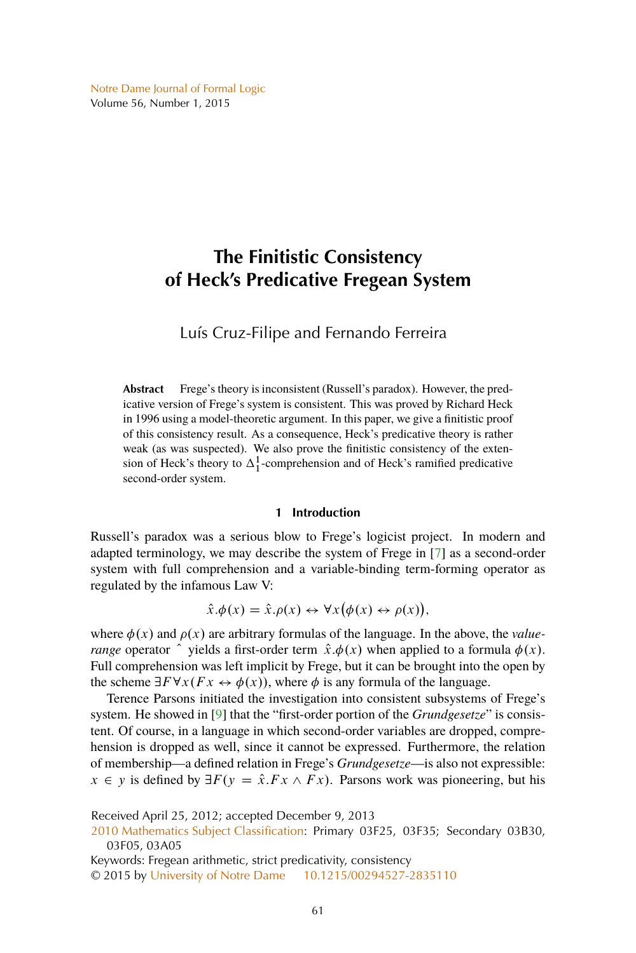<span id="page-0-0"></span>[Notre Dame Journal of Formal Logic](http://www.nd.edu/~ndjfl/) Volume 56, Number 1, 2015

# **The Finitistic Consistency of Heck's Predicative Fregean System**

Luís Cruz-Filipe and Fernando Ferreira

**Abstract** Frege's theory is inconsistent (Russell's paradox). However, the predicative version of Frege's system is consistent. This was proved by Richard Heck in 1996 using a model-theoretic argument. In this paper, we give a finitistic proof of this consistency result. As a consequence, Heck's predicative theory is rather weak (as was suspected). We also prove the finitistic consistency of the extension of Heck's theory to  $\Delta_1^1$ -comprehension and of Heck's ramified predicative second-order system.

## **1 Introduction**

Russell's paradox was a serious blow to Frege's logicist project. In modern and adapted terminology, we may describe the system of Frege in [\[7\]](#page-17-0) as a second-order system with full comprehension and a variable-binding term-forming operator as regulated by the infamous Law V:

$$
\hat{x}.\phi(x) = \hat{x}.\rho(x) \leftrightarrow \forall x (\phi(x) \leftrightarrow \rho(x)),
$$

where  $\phi(x)$  and  $\rho(x)$  are arbitrary formulas of the language. In the above, the *valuerange* operator  $\hat{ }$  yields a first-order term  $\hat{x}.\phi(x)$  when applied to a formula  $\phi(x)$ . Full comprehension was left implicit by Frege, but it can be brought into the open by the scheme  $\exists F \forall x (Fx \leftrightarrow \phi(x))$ , where  $\phi$  is any formula of the language.

Terence Parsons initiated the investigation into consistent subsystems of Frege's system. He showed in [\[9\]](#page-17-0) that the "first-order portion of the *Grundgesetze*" is consistent. Of course, in a language in which second-order variables are dropped, comprehension is dropped as well, since it cannot be expressed. Furthermore, the relation of membership—a defined relation in Frege's *Grundgesetze*—is also not expressible:  $x \in y$  is defined by  $\exists F(y = \hat{x}.Fx \wedge Fx)$ . Parsons work was pioneering, but his

Received April 25, 2012; accepted December 9, 2013

[2010 Mathematics Subject Classification:](http://www.ams.org/mathscinet/msc/msc2010.html) Primary 03F25, 03F35; Secondary 03B30, 03F05, 03A05

Keywords: Fregean arithmetic, strict predicativity, consistency

© 2015 by [University of Notre Dame](http://www.nd.edu) [10.1215/00294527-2835110](http://dx.doi.org/10.1215/00294527-2835110)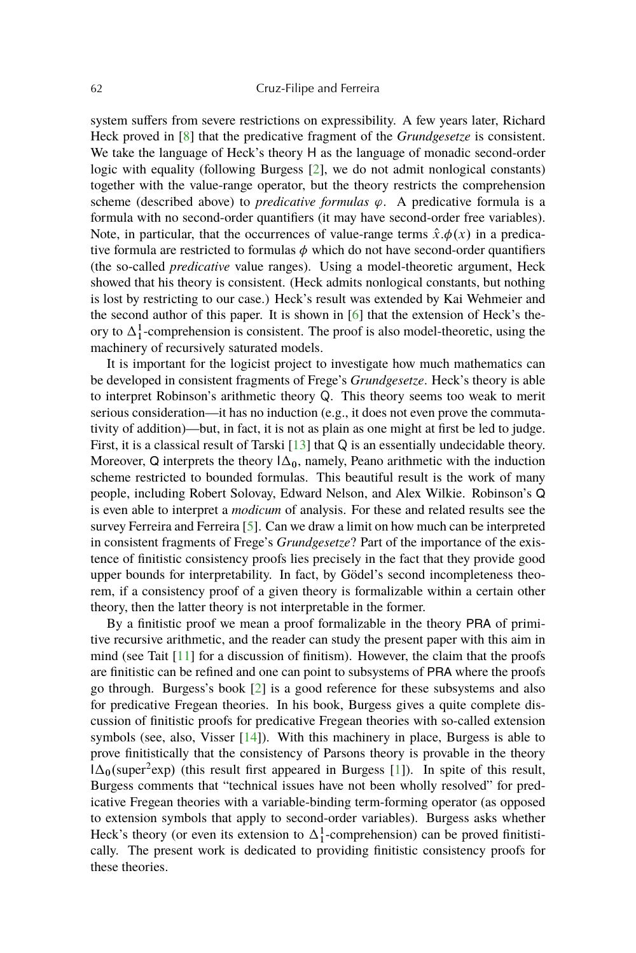<span id="page-1-0"></span>system suffers from severe restrictions on expressibility. A few years later, Richard Heck proved in [\[8\]](#page-17-0) that the predicative fragment of the *Grundgesetze* is consistent. We take the language of Heck's theory H as the language of monadic second-order logic with equality (following Burgess [\[2\]](#page-16-0), we do not admit nonlogical constants) together with the value-range operator, but the theory restricts the comprehension scheme (described above) to *predicative formulas*  $\varphi$ . A predicative formula is a formula with no second-order quantifiers (it may have second-order free variables). Note, in particular, that the occurrences of value-range terms  $\hat{x} \cdot \phi(x)$  in a predicative formula are restricted to formulas  $\phi$  which do not have second-order quantifiers (the so-called *predicative* value ranges). Using a model-theoretic argument, Heck showed that his theory is consistent. (Heck admits nonlogical constants, but nothing is lost by restricting to our case.) Heck's result was extended by Kai Wehmeier and the second author of this paper. It is shown in [\[6\]](#page-17-0) that the extension of Heck's theory to  $\Delta_1^1$ -comprehension is consistent. The proof is also model-theoretic, using the machinery of recursively saturated models.

It is important for the logicist project to investigate how much mathematics can be developed in consistent fragments of Frege's *Grundgesetze*. Heck's theory is able to interpret Robinson's arithmetic theory Q. This theory seems too weak to merit serious consideration—it has no induction (e.g., it does not even prove the commutativity of addition)—but, in fact, it is not as plain as one might at first be led to judge. First, it is a classical result of Tarski [\[13\]](#page-17-0) that Q is an essentially undecidable theory. Moreover, Q interprets the theory  $1\Delta_0$ , namely, Peano arithmetic with the induction scheme restricted to bounded formulas. This beautiful result is the work of many people, including Robert Solovay, Edward Nelson, and Alex Wilkie. Robinson's Q is even able to interpret a *modicum* of analysis. For these and related results see the survey Ferreira and Ferreira [\[5\]](#page-17-0). Can we draw a limit on how much can be interpreted in consistent fragments of Frege's *Grundgesetze*? Part of the importance of the existence of finitistic consistency proofs lies precisely in the fact that they provide good upper bounds for interpretability. In fact, by Gödel's second incompleteness theorem, if a consistency proof of a given theory is formalizable within a certain other theory, then the latter theory is not interpretable in the former.

By a finitistic proof we mean a proof formalizable in the theory PRA of primitive recursive arithmetic, and the reader can study the present paper with this aim in mind (see Tait [\[11\]](#page-17-0) for a discussion of finitism). However, the claim that the proofs are finitistic can be refined and one can point to subsystems of PRA where the proofs go through. Burgess's book [\[2\]](#page-16-0) is a good reference for these subsystems and also for predicative Fregean theories. In his book, Burgess gives a quite complete discussion of finitistic proofs for predicative Fregean theories with so-called extension symbols (see, also, Visser [\[14\]](#page-17-0)). With this machinery in place, Burgess is able to prove finitistically that the consistency of Parsons theory is provable in the theory  $1\Delta_0$ (super<sup>2</sup>exp) (this result first appeared in Burgess [\[1\]](#page-16-0)). In spite of this result, Burgess comments that "technical issues have not been wholly resolved" for predicative Fregean theories with a variable-binding term-forming operator (as opposed to extension symbols that apply to second-order variables). Burgess asks whether Heck's theory (or even its extension to  $\Delta_1^1$ -comprehension) can be proved finitistically. The present work is dedicated to providing finitistic consistency proofs for these theories.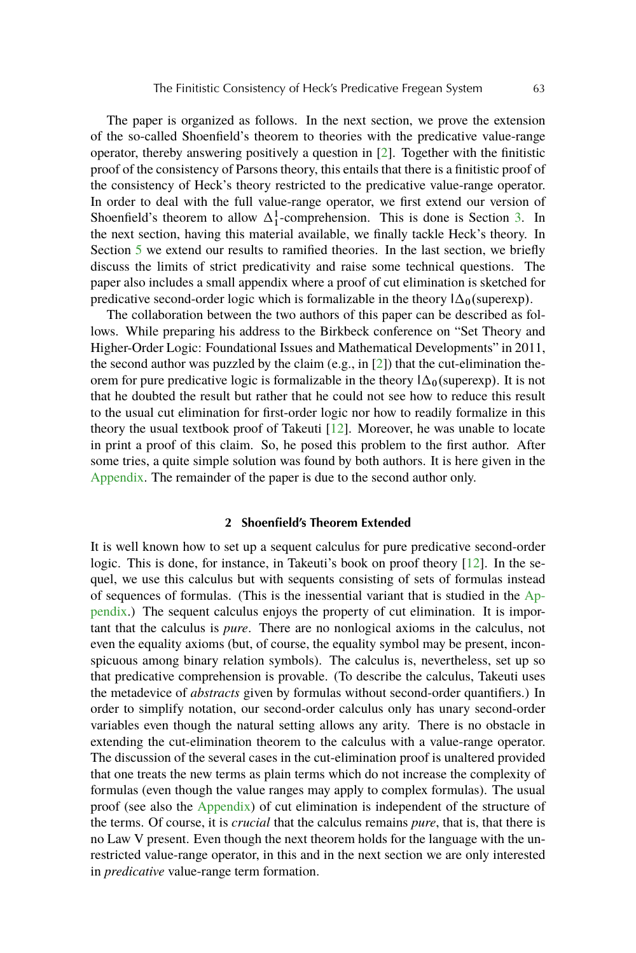<span id="page-2-0"></span>The paper is organized as follows. In the next section, we prove the extension of the so-called Shoenfield's theorem to theories with the predicative value-range operator, thereby answering positively a question in [\[2\]](#page-16-0). Together with the finitistic proof of the consistency of Parsons theory, this entails that there is a finitistic proof of the consistency of Heck's theory restricted to the predicative value-range operator. In order to deal with the full value-range operator, we first extend our version of Shoenfield's theorem to allow  $\Delta_1^1$ -comprehension. This is done is Section [3.](#page-6-0) In the next section, having this material available, we finally tackle Heck's theory. In Section [5](#page-12-0) we extend our results to ramified theories. In the last section, we briefly discuss the limits of strict predicativity and raise some technical questions. The paper also includes a small appendix where a proof of cut elimination is sketched for predicative second-order logic which is formalizable in the theory  $\Delta_0$ (superexp).

The collaboration between the two authors of this paper can be described as follows. While preparing his address to the Birkbeck conference on "Set Theory and Higher-Order Logic: Foundational Issues and Mathematical Developments" in 2011, the second author was puzzled by the claim (e.g., in  $[2]$ ) that the cut-elimination theorem for pure predicative logic is formalizable in the theory  $\Delta_0$ (superexp). It is not that he doubted the result but rather that he could not see how to reduce this result to the usual cut elimination for first-order logic nor how to readily formalize in this theory the usual textbook proof of Takeuti [\[12\]](#page-17-0). Moreover, he was unable to locate in print a proof of this claim. So, he posed this problem to the first author. After some tries, a quite simple solution was found by both authors. It is here given in the [Appendix.](#page-13-0) The remainder of the paper is due to the second author only.

## **2 Shoenfield's Theorem Extended**

It is well known how to set up a sequent calculus for pure predicative second-order logic. This is done, for instance, in Takeuti's book on proof theory [\[12\]](#page-17-0). In the sequel, we use this calculus but with sequents consisting of sets of formulas instead of sequences of formulas. (This is the inessential variant that is studied in the [Ap](#page-13-0)[pendix.](#page-13-0)) The sequent calculus enjoys the property of cut elimination. It is important that the calculus is *pure*. There are no nonlogical axioms in the calculus, not even the equality axioms (but, of course, the equality symbol may be present, inconspicuous among binary relation symbols). The calculus is, nevertheless, set up so that predicative comprehension is provable. (To describe the calculus, Takeuti uses the metadevice of *abstracts* given by formulas without second-order quantifiers.) In order to simplify notation, our second-order calculus only has unary second-order variables even though the natural setting allows any arity. There is no obstacle in extending the cut-elimination theorem to the calculus with a value-range operator. The discussion of the several cases in the cut-elimination proof is unaltered provided that one treats the new terms as plain terms which do not increase the complexity of formulas (even though the value ranges may apply to complex formulas). The usual proof (see also the [Appendix\)](#page-13-0) of cut elimination is independent of the structure of the terms. Of course, it is *crucial* that the calculus remains *pure*, that is, that there is no Law V present. Even though the next theorem holds for the language with the unrestricted value-range operator, in this and in the next section we are only interested in *predicative* value-range term formation.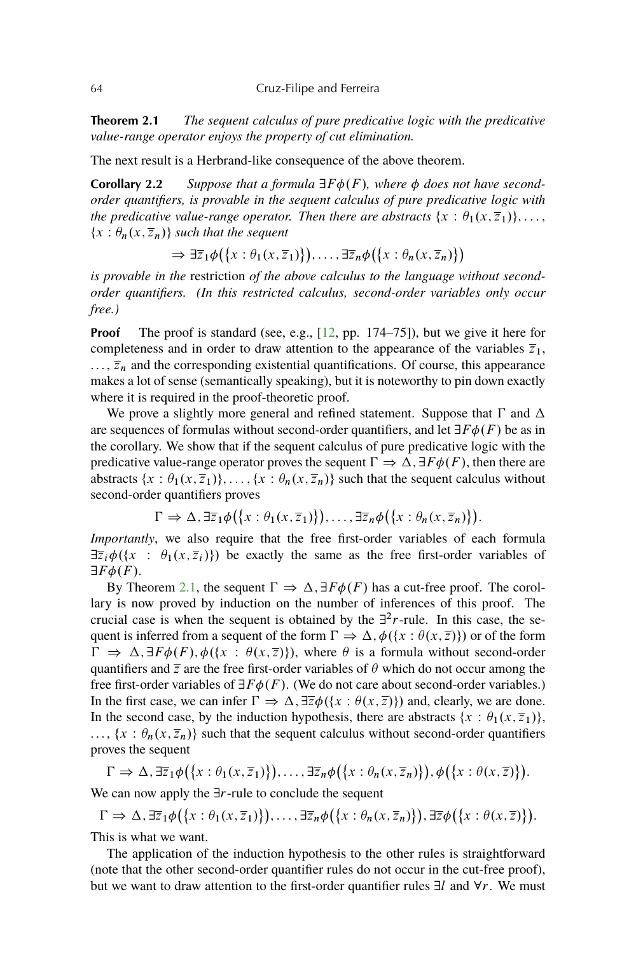<span id="page-3-0"></span>**Theorem 2.1** *The sequent calculus of pure predicative logic with the predicative value-range operator enjoys the property of cut elimination.*

The next result is a Herbrand-like consequence of the above theorem.

**Corollary 2.2** Suppose that a formula  $\exists F \phi(F)$ , where  $\phi$  does not have second*order quantifiers, is provable in the sequent calculus of pure predicative logic with the predicative value-range operator. Then there are abstracts*  $\{x : \theta_1(x, \overline{z}_1)\}, \ldots$ ,  $\{x : \theta_n(x, \overline{z}_n)\}$  such that the sequent

 $\Rightarrow \exists \overline{z}_1 \phi(\lbrace x : \theta_1(x, \overline{z}_1) \rbrace), \ldots, \exists \overline{z}_n \phi(\lbrace x : \theta_n(x, \overline{z}_n) \rbrace)$ 

*is provable in the* restriction *of the above calculus to the language without secondorder quantifiers. (In this restricted calculus, second-order variables only occur free.)*

**Proof** The proof is standard (see, e.g., [\[12,](#page-17-0) pp. 174–75]), but we give it here for completeness and in order to draw attention to the appearance of the variables  $\overline{z}_1$ ,  $..., \overline{z}_n$  and the corresponding existential quantifications. Of course, this appearance makes a lot of sense (semantically speaking), but it is noteworthy to pin down exactly where it is required in the proof-theoretic proof.

We prove a slightly more general and refined statement. Suppose that  $\Gamma$  and  $\Delta$ are sequences of formulas without second-order quantifiers, and let  $\exists F \phi(F)$  be as in the corollary. We show that if the sequent calculus of pure predicative logic with the predicative value-range operator proves the sequent  $\Gamma \Rightarrow \Delta$ ,  $\exists F \phi(F)$ , then there are abstracts  $\{x : \theta_1(x, \overline{z}_1)\}\dots, \{x : \theta_n(x, \overline{z}_n)\}\$  such that the sequent calculus without second-order quantifiers proves

$$
\Gamma \Rightarrow \Delta, \exists \overline{z}_1 \phi(\{x : \theta_1(x, \overline{z}_1)\}), \ldots, \exists \overline{z}_n \phi(\{x : \theta_n(x, \overline{z}_n)\}).
$$

*Importantly*, we also require that the free first-order variables of each formula  $\exists \overline{z}_i \phi(\{x : \theta_1(x, \overline{z}_i)\})$  be exactly the same as the free first-order variables of  $\exists F \phi(F)$ .

By Theorem [2.1,](#page-2-0) the sequent  $\Gamma \Rightarrow \Delta, \exists F \phi(F)$  has a cut-free proof. The corollary is now proved by induction on the number of inferences of this proof. The crucial case is when the sequent is obtained by the  $\exists^{2} r$ -rule. In this case, the sequent is inferred from a sequent of the form  $\Gamma \Rightarrow \Delta, \phi({x : \theta(x, \overline{z})})$  or of the form  $\Gamma \Rightarrow \Delta, \exists F \phi(F), \phi(\{x : \theta(x, \overline{z})\})$ , where  $\theta$  is a formula without second-order quantifiers and  $\overline{z}$  are the free first-order variables of  $\theta$  which do not occur among the free first-order variables of  $\exists F \phi(F)$ . (We do not care about second-order variables.) In the first case, we can infer  $\Gamma \Rightarrow \Delta$ ,  $\exists \overline{z} \phi(\{x : \theta(x, \overline{z})\})$  and, clearly, we are done. In the second case, by the induction hypothesis, there are abstracts  $\{x : \theta_1(x, \overline{z}_1)\},\$  $\ldots$ ,  $\{x : \theta_n(x, \overline{z}_n)\}\$  such that the sequent calculus without second-order quantifiers proves the sequent

$$
\Gamma \Rightarrow \Delta, \exists \overline{z}_1 \phi(\lbrace x : \theta_1(x, \overline{z}_1) \rbrace), \ldots, \exists \overline{z}_n \phi(\lbrace x : \theta_n(x, \overline{z}_n) \rbrace), \phi(\lbrace x : \theta(x, \overline{z}) \rbrace).
$$

We can now apply the  $\exists r$ -rule to conclude the sequent

$$
\Gamma \Rightarrow \Delta, \exists \overline{z}_1 \phi(\{x : \theta_1(x, \overline{z}_1)\}), \ldots, \exists \overline{z}_n \phi(\{x : \theta_n(x, \overline{z}_n)\}), \exists \overline{z} \phi(\{x : \theta(x, \overline{z})\}).
$$

This is what we want.

The application of the induction hypothesis to the other rules is straightforward (note that the other second-order quantifier rules do not occur in the cut-free proof), but we want to draw attention to the first-order quantifier rules  $\exists l$  and  $\forall r$ . We must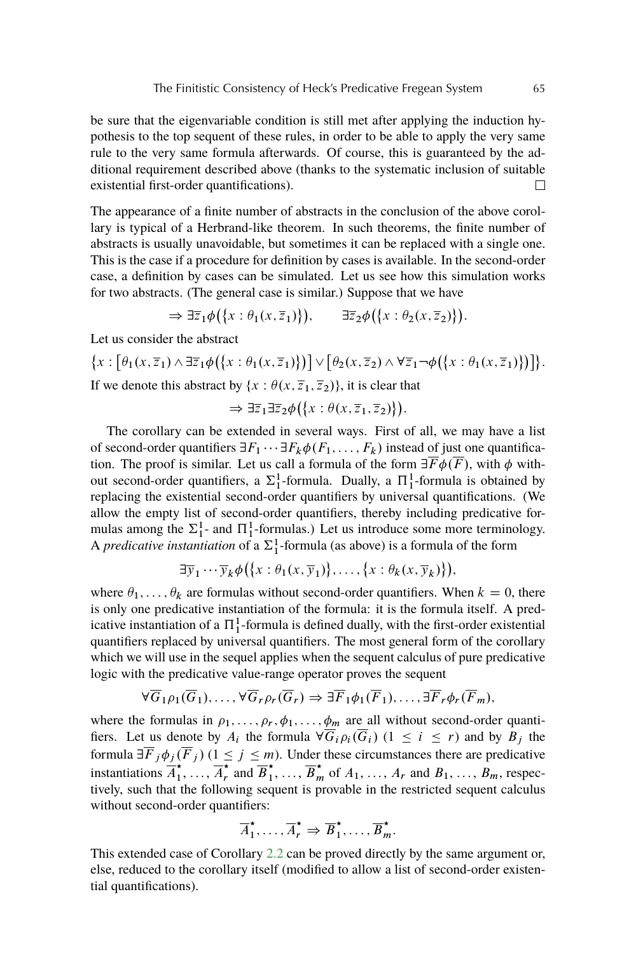be sure that the eigenvariable condition is still met after applying the induction hypothesis to the top sequent of these rules, in order to be able to apply the very same rule to the very same formula afterwards. Of course, this is guaranteed by the additional requirement described above (thanks to the systematic inclusion of suitable existential first-order quantifications).  $\Box$ 

The appearance of a finite number of abstracts in the conclusion of the above corollary is typical of a Herbrand-like theorem. In such theorems, the finite number of abstracts is usually unavoidable, but sometimes it can be replaced with a single one. This is the case if a procedure for definition by cases is available. In the second-order case, a definition by cases can be simulated. Let us see how this simulation works for two abstracts. (The general case is similar.) Suppose that we have

$$
\Rightarrow \exists \overline{z}_1 \phi(\{x : \theta_1(x, \overline{z}_1)\}), \qquad \exists \overline{z}_2 \phi(\{x : \theta_2(x, \overline{z}_2)\}).
$$

Let us consider the abstract

$$
\{x : [\theta_1(x,\overline{z}_1) \wedge \exists \overline{z}_1 \phi(\{x : \theta_1(x,\overline{z}_1)\})] \vee [\theta_2(x,\overline{z}_2) \wedge \forall \overline{z}_1 \neg \phi(\{x : \theta_1(x,\overline{z}_1)\})]\}.
$$
If we denote this abstract by  $\{x : \theta(x,\overline{z}_1,\overline{z}_2)\}$ , it is clear that

$$
\Rightarrow \exists \overline{z}_1 \exists \overline{z}_2 \phi (\{x : \theta(x, \overline{z}_1, \overline{z}_2)\}).
$$

The corollary can be extended in several ways. First of all, we may have a list of second-order quantifiers  $\exists F_1 \cdots \exists F_k \phi(F_1, \ldots, F_k)$  instead of just one quantification. The proof is similar. Let us call a formula of the form  $\exists \overline{F} \phi(\overline{F})$ , with  $\phi$  without second-order quantifiers, a  $\Sigma_1^1$ -formula. Dually, a  $\Pi_1^1$ -formula is obtained by replacing the existential second-order quantifiers by universal quantifications. (We allow the empty list of second-order quantifiers, thereby including predicative formulas among the  $\Sigma_1^1$ - and  $\Pi_1^1$ -formulas.) Let us introduce some more terminology. A *predicative instantiation* of a  $\Sigma_1^1$ -formula (as above) is a formula of the form

$$
\exists \overline{y}_1 \cdots \overline{y}_k \phi(\lbrace x : \theta_1(x, \overline{y}_1) \rbrace, \ldots, \lbrace x : \theta_k(x, \overline{y}_k) \rbrace),
$$

where  $\theta_1, \ldots, \theta_k$  are formulas without second-order quantifiers. When  $k = 0$ , there is only one predicative instantiation of the formula: it is the formula itself. A predicative instantiation of a  $\Pi_1^1$ -formula is defined dually, with the first-order existential quantifiers replaced by universal quantifiers. The most general form of the corollary which we will use in the sequel applies when the sequent calculus of pure predicative logic with the predicative value-range operator proves the sequent

$$
\forall \overline{G}_1 \rho_1(\overline{G}_1), \dots, \forall \overline{G}_r \rho_r(\overline{G}_r) \Rightarrow \exists \overline{F}_1 \phi_1(\overline{F}_1), \dots, \exists \overline{F}_r \phi_r(\overline{F}_m),
$$

where the formulas in  $\rho_1, \ldots, \rho_r, \phi_1, \ldots, \phi_m$  are all without second-order quantifiers. Let us denote by  $A_i$  the formula  $\forall \overline{G}_i \rho_i(\overline{G}_i)$   $(1 \leq i \leq r)$  and by  $B_j$  the formula  $\exists \overline{F}_j \phi_j(\overline{F}_j)$   $(1 \leq j \leq m)$ . Under these circumstances there are predicative instantiations  $\overline{A}_1^{\star}$  $\overrightarrow{A}_1, \ldots, \overrightarrow{A}_r$  $\vec{r}$  and  $\vec{B}_1^*$  $\overrightarrow{B}_m^*$  of  $A_1, \ldots, A_r$  and  $B_1, \ldots, B_m$ , respectively, such that the following sequent is provable in the restricted sequent calculus without second-order quantifiers:

$$
\overline{A}_1^\star, \ldots, \overline{A}_r^\star \Rightarrow \overline{B}_1^\star, \ldots, \overline{B}_m^\star.
$$

This extended case of Corollary [2.2](#page-3-0) can be proved directly by the same argument or, else, reduced to the corollary itself (modified to allow a list of second-order existential quantifications).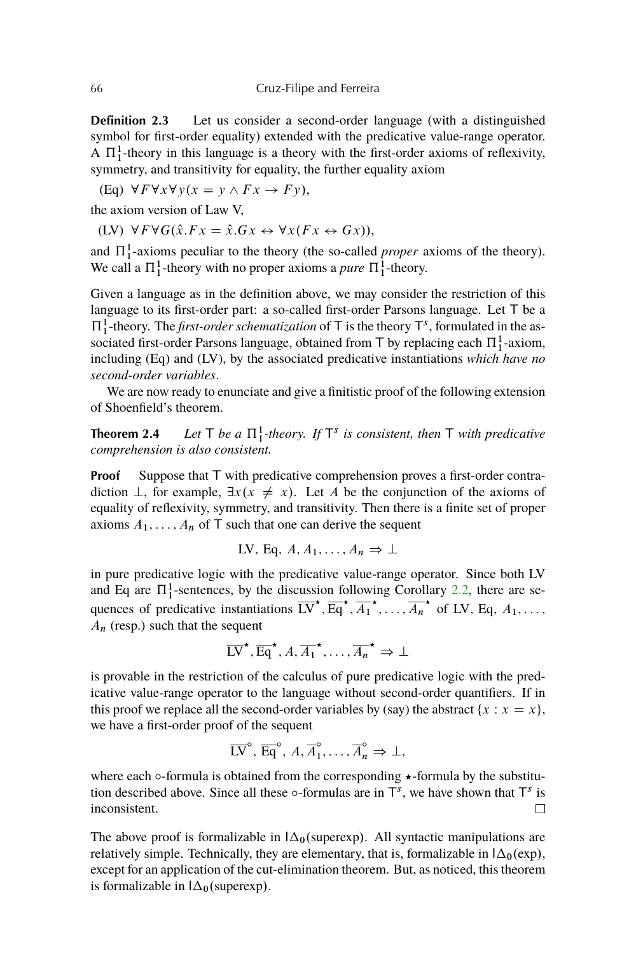**Definition 2.3** Let us consider a second-order language (with a distinguished symbol for first-order equality) extended with the predicative value-range operator. A  $\Pi_1^1$ -theory in this language is a theory with the first-order axioms of reflexivity, symmetry, and transitivity for equality, the further equality axiom

(Eq)  $\forall F \forall x \forall y (x = y \land F x \rightarrow F y),$ 

the axiom version of Law V,

(LV)  $\forall F \forall G(\hat{x}.Fx = \hat{x}.Gx \leftrightarrow \forall x (Fx \leftrightarrow Gx)),$ 

and  $\Pi_1^1$ -axioms peculiar to the theory (the so-called *proper* axioms of the theory). We call a  $\Pi_1^1$ -theory with no proper axioms a *pure*  $\Pi_1^1$ -theory.

Given a language as in the definition above, we may consider the restriction of this language to its first-order part: a so-called first-order Parsons language. Let T be a  $\Pi_1^1$ -theory. The *first-order schematization* of T is the theory  $T^s$ , formulated in the associated first-order Parsons language, obtained from T by replacing each  $\Pi_1^1$ -axiom, including (Eq) and (LV), by the associated predicative instantiations *which have no second-order variables*.

We are now ready to enunciate and give a finitistic proof of the following extension of Shoenfield's theorem.

**Theorem 2.4** *Let*  $\top$  *be a*  $\Pi_1^1$ -theory. If  $\top$ <sup>s</sup> is consistent, then  $\top$  *with predicative comprehension is also consistent.*

**Proof** Suppose that T with predicative comprehension proves a first-order contradiction  $\perp$ , for example,  $\exists x (x \neq x)$ . Let A be the conjunction of the axioms of equality of reflexivity, symmetry, and transitivity. Then there is a finite set of proper axioms  $A_1, \ldots, A_n$  of T such that one can derive the sequent

LV, Eq. 
$$
A, A_1, \ldots, A_n \Rightarrow \bot
$$

in pure predicative logic with the predicative value-range operator. Since both LV and Eq are  $\Pi_1^1$ -sentences, by the discussion following Corollary [2.2,](#page-3-0) there are sequences of predicative instantiations  $\overrightarrow{LV}$ ,  $\overrightarrow{Eq}$ ,  $\overrightarrow{A_1}$ , ...,  $\overrightarrow{A_n}$  of LV, Eq,  $A_1$ ,...,  $A_n$  (resp.) such that the sequent

$$
\overline{LV}^{\star}, \overline{Eq}^{\star}, A, \overline{A_1}^{\star}, \ldots, \overline{A_n}^{\star} \Rightarrow \bot
$$

is provable in the restriction of the calculus of pure predicative logic with the predicative value-range operator to the language without second-order quantifiers. If in this proof we replace all the second-order variables by (say) the abstract  $\{x : x = x\}$ , we have a first-order proof of the sequent

$$
\overline{LV}^{\circ}, \overline{Eq}^{\circ}, A, \overline{A}_1^{\circ}, \ldots, \overline{A}_n^{\circ} \Rightarrow \bot,
$$

where each  $\circ$ -formula is obtained from the corresponding  $\star$ -formula by the substitution described above. Since all these  $\circ$ -formulas are in  $\overline{T}^s$ , we have shown that  $\overline{T}^s$  is inconsistent.  $\Box$ 

The above proof is formalizable in  $\Delta_0$ (superexp). All syntactic manipulations are relatively simple. Technically, they are elementary, that is, formalizable in  $\Delta_0(\exp)$ , except for an application of the cut-elimination theorem. But, as noticed, this theorem is formalizable in  $\Delta_0$ (superexp).

<span id="page-5-0"></span>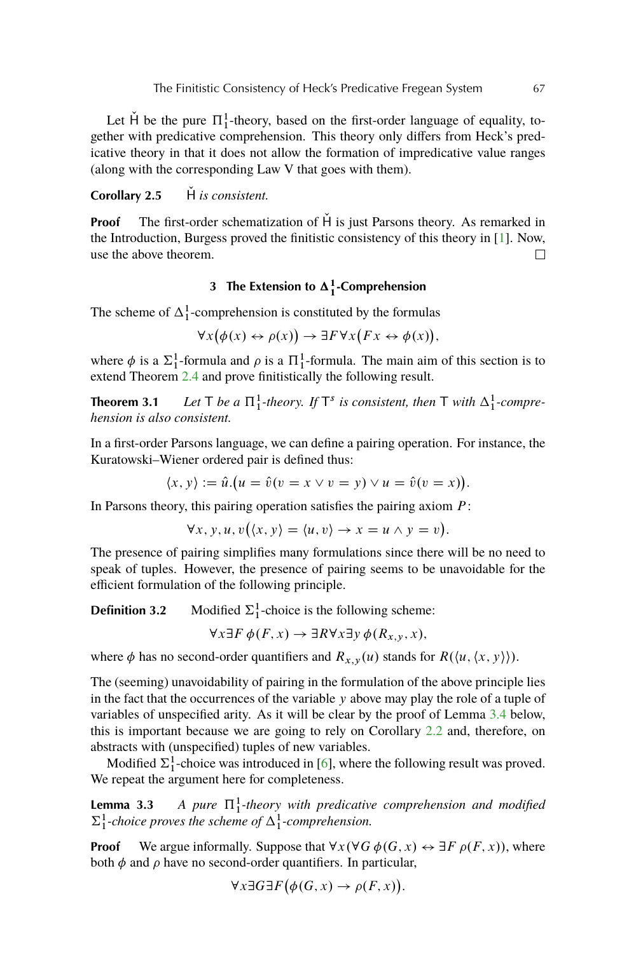<span id="page-6-0"></span>Let  $\check{H}$  be the pure  $\Pi_1^1$ -theory, based on the first-order language of equality, together with predicative comprehension. This theory only differs from Heck's predicative theory in that it does not allow the formation of impredicative value ranges (along with the corresponding Law V that goes with them).

**Corollary 2.5** H *is consistent.* 

**Proof** The first-order schematization of H is just Parsons theory. As remarked in the Introduction, Burgess proved the finitistic consistency of this theory in [\[1\]](#page-16-0). Now, use the above theorem.  $\Box$ 

# **3** The Extension to  $\Delta_1^1$ -Comprehension

The scheme of  $\Delta_1^1$ -comprehension is constituted by the formulas

$$
\forall x (\phi(x) \leftrightarrow \rho(x)) \rightarrow \exists F \forall x (Fx \leftrightarrow \phi(x)),
$$

where  $\phi$  is a  $\Sigma_1^1$ -formula and  $\rho$  is a  $\Pi_1^1$ -formula. The main aim of this section is to extend Theorem [2.4](#page-5-0) and prove finitistically the following result.

**Theorem 3.1** Let  $\top$  be a  $\Pi_1^1$ -theory. If  $\top$ <sup>s</sup> is consistent, then  $\top$  with  $\Delta_1^1$ -compre*hension is also consistent.*

In a first-order Parsons language, we can define a pairing operation. For instance, the Kuratowski–Wiener ordered pair is defined thus:

$$
\langle x, y \rangle := \hat{u} \cdot (u = \hat{v}(v = x \lor v = y) \lor u = \hat{v}(v = x)).
$$

In Parsons theory, this pairing operation satisfies the pairing axiom  $P$ :

$$
\forall x, y, u, v(\langle x, y \rangle = \langle u, v \rangle \to x = u \land y = v).
$$

The presence of pairing simplifies many formulations since there will be no need to speak of tuples. However, the presence of pairing seems to be unavoidable for the efficient formulation of the following principle.

**Definition 3.2** Modified  $\Sigma_1^1$ -choice is the following scheme:

$$
\forall x \exists F \phi(F, x) \rightarrow \exists R \forall x \exists y \phi(R_{x,y}, x),
$$

where  $\phi$  has no second-order quantifiers and  $R_{x,y}(u)$  stands for  $R(\langle u, \langle x, y \rangle \rangle)$ .

The (seeming) unavoidability of pairing in the formulation of the above principle lies in the fact that the occurrences of the variable  $y$  above may play the role of a tuple of variables of unspecified arity. As it will be clear by the proof of Lemma [3.4](#page-7-0) below, this is important because we are going to rely on Corollary [2.2](#page-3-0) and, therefore, on abstracts with (unspecified) tuples of new variables.

Modified  $\Sigma_1^1$ -choice was introduced in [\[6\]](#page-17-0), where the following result was proved. We repeat the argument here for completeness.

**Lemma 3.3** *A pure*  $\Pi_1^1$ -theory with predicative comprehension and modified  $\Sigma_1^1$ -choice proves the scheme of  $\Delta_1^1$ -comprehension.

**Proof** We argue informally. Suppose that  $\forall x (\forall G \phi(G, x) \leftrightarrow \exists F \rho(F, x))$ , where both  $\phi$  and  $\rho$  have no second-order quantifiers. In particular,

$$
\forall x \exists G \exists F (\phi(G, x) \rightarrow \rho(F, x)).
$$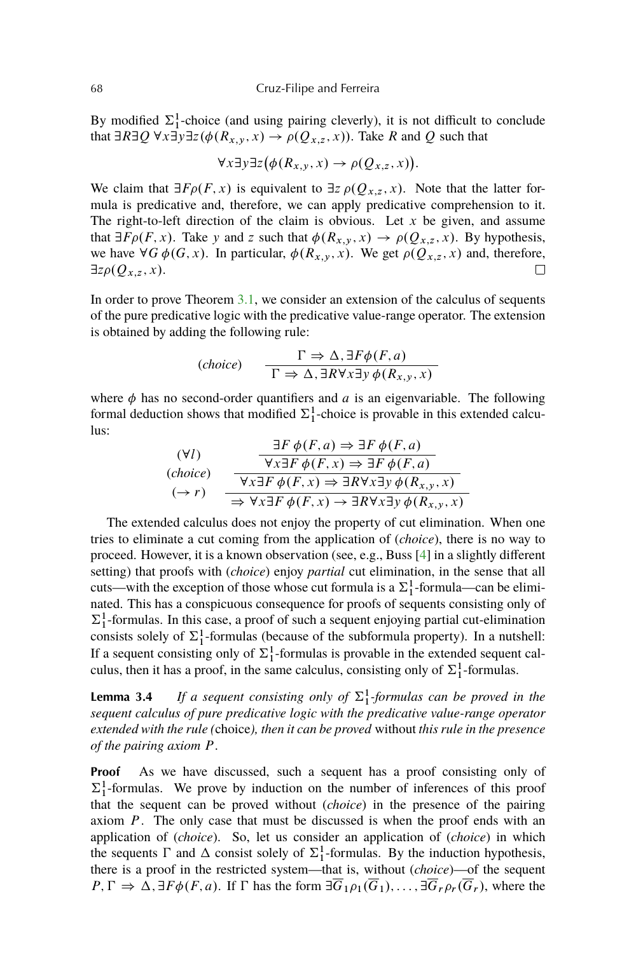<span id="page-7-0"></span>By modified  $\Sigma_1^1$ -choice (and using pairing cleverly), it is not difficult to conclude that  $\exists R \exists Q \forall x \exists y \exists z (\phi(R_{x,y}, x) \rightarrow \rho(Q_{x,z}, x))$ . Take R and Q such that

$$
\forall x \exists y \exists z (\phi(R_{x,y}, x) \to \rho(Q_{x,z}, x)).
$$

We claim that  $\exists F \rho(F, x)$  is equivalent to  $\exists z \rho(Q_{x,z}, x)$ . Note that the latter formula is predicative and, therefore, we can apply predicative comprehension to it. The right-to-left direction of the claim is obvious. Let  $x$  be given, and assume that  $\exists F \rho(F, x)$ . Take y and z such that  $\phi(R_{x,y}, x) \to \rho(Q_{x,z}, x)$ . By hypothesis, we have  $\forall G \phi(G, x)$ . In particular,  $\phi(R_{x,y}, x)$ . We get  $\rho(Q_{x,z}, x)$  and, therefore,  $\exists z \rho(Q_{x,z}, x).$ 

In order to prove Theorem [3.1,](#page-6-0) we consider an extension of the calculus of sequents of the pure predicative logic with the predicative value-range operator. The extension is obtained by adding the following rule:

$$
(choice) \qquad \qquad \frac{\Gamma \Rightarrow \Delta, \exists F \phi(F, a)}{\Gamma \Rightarrow \Delta, \exists R \forall x \exists y \phi(R_{x,y}, x)}
$$

where  $\phi$  has no second-order quantifiers and a is an eigenvariable. The following formal deduction shows that modified  $\Sigma_1^1$ -choice is provable in this extended calculus:  $\overline{P}$   $\overline{P}$   $\overline{P}$   $\overline{P}$   $\overline{P}$   $\overline{P}$   $\overline{P}$   $\overline{P}$   $\overline{P}$   $\overline{P}$   $\overline{P}$   $\overline{P}$   $\overline{P}$   $\overline{P}$   $\overline{P}$   $\overline{P}$   $\overline{P}$   $\overline{P}$   $\overline{P}$   $\overline{P}$   $\overline{P}$   $\overline{P}$   $\overline{P}$   $\overline{P}$   $\overline{$ 

$$
\begin{array}{ll}\n(\forall l) & \frac{\exists F \phi(F, a) \Rightarrow \exists F \phi(F, a)}{\forall x \exists F \phi(F, x) \Rightarrow \exists F \phi(F, a)} \\
(\text{choice}) & \frac{\forall x \exists F \phi(F, x) \Rightarrow \exists F \phi(F, a)}{\forall x \exists F \phi(F, x) \Rightarrow \exists R \forall x \exists y \phi(R_{x, y}, x)} \\
(\rightarrow r) & \Rightarrow \forall x \exists F \phi(F, x) \rightarrow \exists R \forall x \exists y \phi(R_{x, y}, x)\n\end{array}
$$

The extended calculus does not enjoy the property of cut elimination. When one tries to eliminate a cut coming from the application of (*choice*), there is no way to proceed. However, it is a known observation (see, e.g., Buss [\[4\]](#page-17-0) in a slightly different setting) that proofs with (*choice*) enjoy *partial* cut elimination, in the sense that all cuts—with the exception of those whose cut formula is a  $\Sigma_1^1$ -formula—can be eliminated. This has a conspicuous consequence for proofs of sequents consisting only of  $\Sigma_1^1$ -formulas. In this case, a proof of such a sequent enjoying partial cut-elimination consists solely of  $\Sigma_1^1$ -formulas (because of the subformula property). In a nutshell: If a sequent consisting only of  $\Sigma_1^1$ -formulas is provable in the extended sequent calculus, then it has a proof, in the same calculus, consisting only of  $\Sigma_1^1$ -formulas.

**Lemma 3.4** If a sequent consisting only of  $\Sigma_1^1$ -formulas can be proved in the *sequent calculus of pure predicative logic with the predicative value-range operator extended with the rule (*choice*), then it can be proved* without *this rule in the presence of the pairing axiom* P*.*

**Proof** As we have discussed, such a sequent has a proof consisting only of  $\Sigma_1^1$ -formulas. We prove by induction on the number of inferences of this proof that the sequent can be proved without (*choice*) in the presence of the pairing axiom P. The only case that must be discussed is when the proof ends with an application of (*choice*). So, let us consider an application of (*choice*) in which the sequents  $\Gamma$  and  $\Delta$  consist solely of  $\Sigma_1^1$ -formulas. By the induction hypothesis, there is a proof in the restricted system—that is, without (*choice*)—of the sequent  $P, \Gamma \Rightarrow \Delta, \exists F \phi(F, a)$ . If  $\Gamma$  has the form  $\exists \overline{G}_1 \rho_1(\overline{G}_1), \ldots, \exists \overline{G}_r \rho_r(\overline{G}_r)$ , where the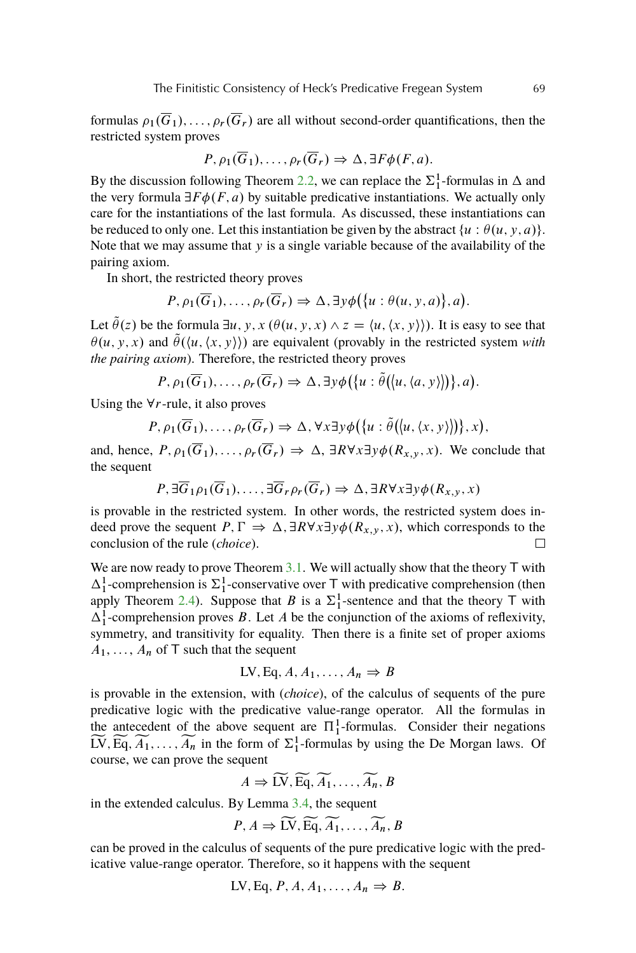formulas  $\rho_1(\overline{G}_1), \ldots, \rho_r(\overline{G}_r)$  are all without second-order quantifications, then the restricted system proves

$$
P, \rho_1(\overline{G}_1), \ldots, \rho_r(\overline{G}_r) \Rightarrow \Delta, \exists F \phi(F, a).
$$

By the discussion following Theorem [2.2,](#page-3-0) we can replace the  $\Sigma_1^1$ -formulas in  $\Delta$  and the very formula  $\exists F \phi(F, a)$  by suitable predicative instantiations. We actually only care for the instantiations of the last formula. As discussed, these instantiations can be reduced to only one. Let this instantiation be given by the abstract  $\{u : \theta(u, y, a)\}.$ Note that we may assume that  $y$  is a single variable because of the availability of the pairing axiom.

In short, the restricted theory proves

$$
P, \rho_1(\overline{G}_1), \ldots, \rho_r(\overline{G}_r) \Rightarrow \Delta, \exists y \phi \big( \{u : \theta(u, y, a) \}, a \big).
$$

Let  $\hat{\theta}(z)$  be the formula  $\exists u, y, x$  ( $\theta(u, y, x) \wedge z = \langle u, \langle x, y \rangle \rangle$ ). It is easy to see that  $\theta(u, y, x)$  and  $\tilde{\theta}(\langle u, \langle x, y \rangle)$  are equivalent (provably in the restricted system *with the pairing axiom*). Therefore, the restricted theory proves

$$
P, \rho_1(\overline{G}_1), \ldots, \rho_r(\overline{G}_r) \Rightarrow \Delta, \exists y \phi(\{u : \tilde{\theta}([u, \langle a, y \rangle])\}, a).
$$

Using the  $\forall r$ -rule, it also proves

$$
P, \rho_1(\overline{G}_1), \ldots, \rho_r(\overline{G}_r) \Rightarrow \Delta, \forall x \exists y \phi(\{u : \tilde{\theta}([u, \langle x, y \rangle])\}, x),
$$

and, hence,  $P, \rho_1(\overline{G}_1), \ldots, \rho_r(\overline{G}_r) \Rightarrow \Delta, \exists R \forall x \exists y \phi(R_{x,y}, x)$ . We conclude that the sequent

$$
P, \exists \overline{G}_1 \rho_1(\overline{G}_1), \dots, \exists \overline{G}_r \rho_r(\overline{G}_r) \Rightarrow \Delta, \exists R \forall x \exists y \phi(R_{x,y}, x)
$$

is provable in the restricted system. In other words, the restricted system does indeed prove the sequent  $P, \Gamma \Rightarrow \Delta, \exists R \forall x \exists y \phi(R_{x,y}, x)$ , which corresponds to the conclusion of the rule (*choice*).  $\Box$ 

We are now ready to prove Theorem  $3.1$ . We will actually show that the theory  $T$  with  $\Delta_1^1$ -comprehension is  $\Sigma_1^1$ -conservative over T with predicative comprehension (then apply Theorem [2.4\)](#page-5-0). Suppose that B is a  $\Sigma_1^1$ -sentence and that the theory T with  $\Delta_1^1$ -comprehension proves B. Let A be the conjunction of the axioms of reflexivity, symmetry, and transitivity for equality. Then there is a finite set of proper axioms  $A_1, \ldots, A_n$  of T such that the sequent

$$
LV, Eq, A, A_1, \ldots, A_n \Rightarrow B
$$

is provable in the extension, with (*choice*), of the calculus of sequents of the pure predicative logic with the predicative value-range operator. All the formulas in the antecedent of the above sequent are  $\Pi_1^1$ -formulas. Consider their negations  $\widetilde{LV}, \widetilde{Eq}, \widetilde{A_1}, \ldots, \widetilde{A_n}$  in the form of  $\Sigma_1^1$ -formulas by using the De Morgan laws. Of course, we can prove the sequent

$$
A \Rightarrow \widetilde{\mathrm{LV}}, \widetilde{\mathrm{Eq}}, \widetilde{A_1}, \ldots, \widetilde{A_n}, B
$$

in the extended calculus. By Lemma [3.4,](#page-7-0) the sequent

$$
P, A \Rightarrow \widetilde{\text{LV}}, \widetilde{\text{Eq}}, \widetilde{A_1}, \ldots, \widetilde{A_n}, B
$$

can be proved in the calculus of sequents of the pure predicative logic with the predicative value-range operator. Therefore, so it happens with the sequent

$$
LV, Eq, P, A, A_1, \ldots, A_n \Rightarrow B.
$$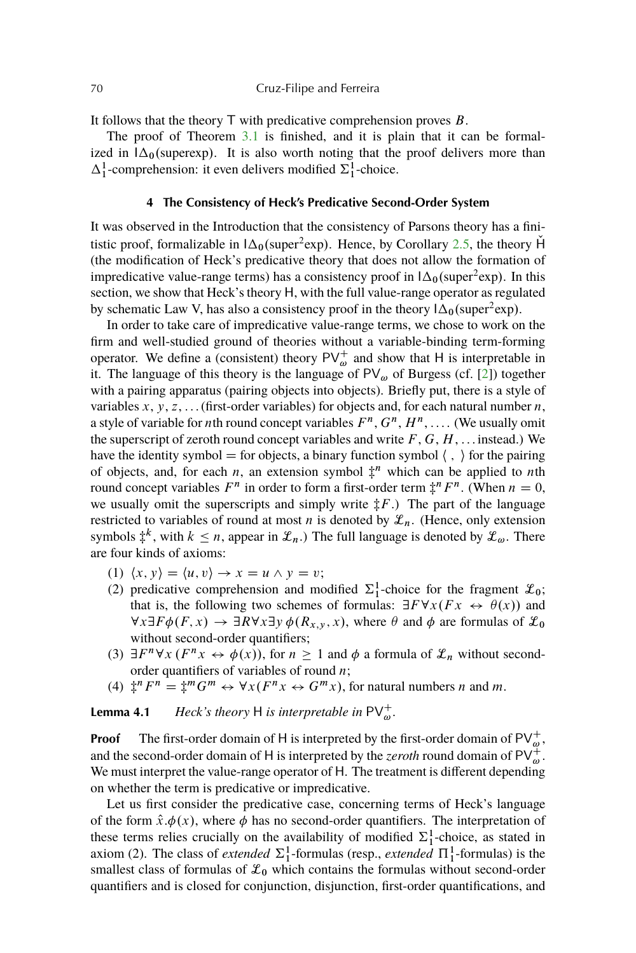## <span id="page-9-0"></span>70 Cruz-Filipe and Ferreira

It follows that the theory  $\top$  with predicative comprehension proves  $B$ .

The proof of Theorem [3.1](#page-6-0) is finished, and it is plain that it can be formalized in  $\Delta_0$ (superexp). It is also worth noting that the proof delivers more than  $\Delta_1^1$ -comprehension: it even delivers modified  $\Sigma_1^1$ -choice.

### **4 The Consistency of Heck's Predicative Second-Order System**

It was observed in the Introduction that the consistency of Parsons theory has a finitistic proof, formalizable in  $\Delta_0$ (super<sup>2</sup>exp). Hence, by Corollary [2.5,](#page-6-0) the theory  $\check{H}$ (the modification of Heck's predicative theory that does not allow the formation of impredicative value-range terms) has a consistency proof in  $\Delta_0$ (super<sup>2</sup>exp). In this section, we show that Heck's theory H, with the full value-range operator as regulated by schematic Law V, has also a consistency proof in the theory  $\Delta_0$ (super<sup>2</sup>exp).

In order to take care of impredicative value-range terms, we chose to work on the firm and well-studied ground of theories without a variable-binding term-forming operator. We define a (consistent) theory  $PV_{\omega}^+$  and show that H is interpretable in it. The language of this theory is the language of  $PV_{\omega}$  of Burgess (cf. [\[2\]](#page-16-0)) together with a pairing apparatus (pairing objects into objects). Briefly put, there is a style of variables  $x, y, z, \ldots$  (first-order variables) for objects and, for each natural number  $n$ , a style of variable for *n*th round concept variables  $F^n$ ,  $G^n$ ,  $H^n$ , .... (We usually omit the superscript of zeroth round concept variables and write  $F, G, H, \ldots$  instead.) We have the identity symbol  $=$  for objects, a binary function symbol  $\langle , \rangle$  for the pairing of objects, and, for each *n*, an extension symbol  $\ddagger^n$  which can be applied to *n*th round concept variables  $F^n$  in order to form a first-order term  $\ddagger$ <sup>n</sup> $F^n$ . (When  $n = 0$ , we usually omit the superscripts and simply write  $\ddagger F$ .) The part of the language restricted to variables of round at most *n* is denoted by  $\mathcal{L}_n$ . (Hence, only extension symbols  $\ddagger^k$ , with  $k \leq n$ , appear in  $\mathcal{L}_n$ .) The full language is denoted by  $\mathcal{L}_{\omega}$ . There are four kinds of axioms:

- (1)  $\langle x, y \rangle = \langle u, v \rangle \rightarrow x = u \wedge y = v;$
- (2) predicative comprehension and modified  $\Sigma_1^1$ -choice for the fragment  $\mathcal{L}_0$ ; that is, the following two schemes of formulas:  $\exists F \forall x (Fx \leftrightarrow \theta(x))$  and  $\forall x \exists F \phi(F, x) \rightarrow \exists R \forall x \exists y \phi(R_{x,y}, x)$ , where  $\theta$  and  $\phi$  are formulas of  $\mathcal{L}_0$ without second-order quantifiers;
- (3)  $\exists F^n \forall x (F^n x \leftrightarrow \phi(x))$ , for  $n \ge 1$  and  $\phi$  a formula of  $\mathcal{L}_n$  without secondorder quantifiers of variables of round  $n$ ;
- (4)  $\frac{4}{3}$ <sup>n</sup>  $F^n = \frac{4}{3}$ <sup>m</sup> $G^m \leftrightarrow \forall x (F^n x \leftrightarrow G^m x)$ , for natural numbers *n* and *m*.

**Lemma 4.1** *Heck's theory* H *is interpretable in*  $PV_{\omega}^+$ .

**Proof** The first-order domain of H is interpreted by the first-order domain of  $PV_{\omega}^+$ , and the second-order domain of H is interpreted by the *zeroth* round domain of  $PV_{\omega}^+$ . We must interpret the value-range operator of H. The treatment is different depending on whether the term is predicative or impredicative.

Let us first consider the predicative case, concerning terms of Heck's language of the form  $\hat{x}.\phi(x)$ , where  $\phi$  has no second-order quantifiers. The interpretation of these terms relies crucially on the availability of modified  $\Sigma_1^1$ -choice, as stated in axiom (2). The class of *extended*  $\Sigma_1^1$ -formulas (resp., *extended*  $\Pi_1^1$ -formulas) is the smallest class of formulas of  $\mathcal{L}_0$  which contains the formulas without second-order quantifiers and is closed for conjunction, disjunction, first-order quantifications, and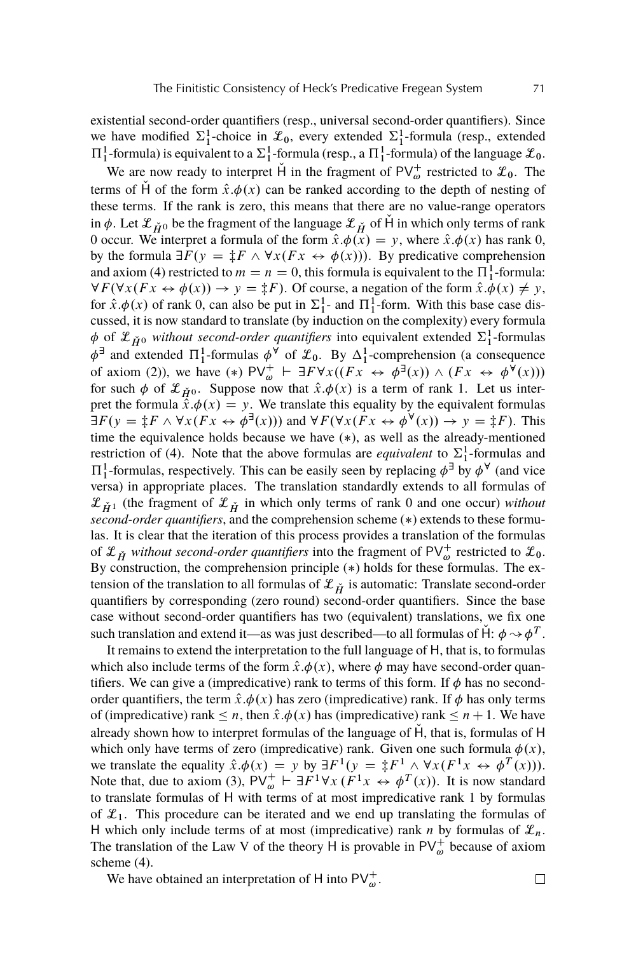existential second-order quantifiers (resp., universal second-order quantifiers). Since we have modified  $\Sigma_1^1$ -choice in  $\mathcal{L}_0$ , every extended  $\Sigma_1^1$ -formula (resp., extended  $\Pi_1^1$ -formula) is equivalent to a  $\Sigma_1^1$ -formula (resp., a  $\Pi_1^1$ -formula) of the language  $\mathcal{L}_0$ .

We are now ready to interpret H in the fragment of  $PV_{\omega}^+$  restricted to  $\mathcal{L}_0$ . The terms of H of the form  $\hat{x}.\phi(x)$  can be ranked according to the depth of nesting of these terms. If the rank is zero, this means that there are no value-range operators in  $\phi$ . Let  $\mathcal{L}_{H0}$  be the fragment of the language  $\mathcal{L}_{H}$  of H in which only terms of rank 0 occur. We interpret a formula of the form  $\hat{x}.\phi(x) = y$ , where  $\hat{x}.\phi(x)$  has rank 0, by the formula  $\exists F (y = \pm F \wedge \forall x (Fx \leftrightarrow \phi(x)))$ . By predicative comprehension and axiom (4) restricted to  $m = n = 0$ , this formula is equivalent to the  $\Pi_1^1$ -formula:  $\forall F (\forall x (Fx \leftrightarrow \phi(x)) \rightarrow y = \ddagger F)$ . Of course, a negation of the form  $\hat{x} \cdot \phi(x) \neq y$ , for  $\hat{x}.\phi(x)$  of rank 0, can also be put in  $\Sigma_1^1$ - and  $\Pi_1^1$ -form. With this base case discussed, it is now standard to translate (by induction on the complexity) every formula  $\phi$  of  $\mathcal{L}_{\check{H}^0}$  without second-order quantifiers into equivalent extended  $\Sigma_1^1$ -formulas  $\phi^{\exists}$  and extended  $\Pi_1^1$ -formulas  $\phi^{\forall}$  of  $\mathcal{L}_0$ . By  $\Delta_1^1$ -comprehension (a consequence of axiom (2)), we have (\*)  $PV_{\omega}^+$   $\vdash \exists F \forall x ((Fx \leftrightarrow \phi^{\exists}(x)) \land (Fx \leftrightarrow \phi^{\forall}(x)))$ for such  $\phi$  of  $\mathcal{L}_{H0}$ . Suppose now that  $\hat{x}.\phi(x)$  is a term of rank 1. Let us interpret the formula  $\hat{x}.\phi(x) = y$ . We translate this equality by the equivalent formulas  $\exists F(y = \ddagger F \wedge \forall x (Fx \leftrightarrow \phi^{\exists}(x)))$  and  $\forall F(\forall x (Fx \leftrightarrow \phi^{\forall}(x)) \rightarrow y = \ddagger F)$ . This time the equivalence holds because we have  $(*)$ , as well as the already-mentioned restriction of (4). Note that the above formulas are *equivalent* to  $\Sigma_1^1$ -formulas and  $\Pi_1^1$ -formulas, respectively. This can be easily seen by replacing  $\phi^{\exists}$  by  $\phi^{\forall}$  (and vice versa) in appropriate places. The translation standardly extends to all formulas of  $\mathcal{L}_{\check{H}^1}$  (the fragment of  $\mathcal{L}_{\check{H}}$  in which only terms of rank 0 and one occur) *without second-order quantifiers*, and the comprehension scheme (\*) extends to these formulas. It is clear that the iteration of this process provides a translation of the formulas of  $\mathcal{L}_{\check{H}}$  without second-order quantifiers into the fragment of PV $_{\omega}^+$  restricted to  $\mathcal{L}_0$ . By construction, the comprehension principle  $(*)$  holds for these formulas. The extension of the translation to all formulas of  ${\mathcal X}_{\check H}$  is automatic: Translate second-order quantifiers by corresponding (zero round) second-order quantifiers. Since the base case without second-order quantifiers has two (equivalent) translations, we fix one such translation and extend it—as was just described—to all formulas of  $\dot{H}$ :  $\phi \rightarrow \phi^T$ .

It remains to extend the interpretation to the full language of H, that is, to formulas which also include terms of the form  $\hat{x} \cdot \phi(x)$ , where  $\phi$  may have second-order quantifiers. We can give a (impredicative) rank to terms of this form. If  $\phi$  has no secondorder quantifiers, the term  $\hat{x}.\phi(x)$  has zero (impredicative) rank. If  $\phi$  has only terms of (impredicative) rank  $\leq n$ , then  $\hat{x}.\phi(x)$  has (impredicative) rank  $\leq n + 1$ . We have already shown how to interpret formulas of the language of  $\dot{H}$ , that is, formulas of  $H$ which only have terms of zero (impredicative) rank. Given one such formula  $\phi(x)$ , we translate the equality  $\hat{x} \cdot \phi(x) = y$  by  $\exists F^1(y) = \frac{1}{x} F^1 \wedge \forall x (F^1 x \leftrightarrow \phi^T(x))$ . Note that, due to axiom (3),  $PV_{\omega}^+ \vdash \exists F^1 \forall x (\check{F}^1 x \leftrightarrow \phi^T(x))$ . It is now standard to translate formulas of H with terms of at most impredicative rank 1 by formulas of  $\mathcal{L}_1$ . This procedure can be iterated and we end up translating the formulas of H which only include terms of at most (impredicative) rank n by formulas of  $\mathcal{L}_n$ . The translation of the Law V of the theory H is provable in  $PV_{\omega}^{+}$  because of axiom scheme (4).

We have obtained an interpretation of H into  $PV_{\omega}^+$ .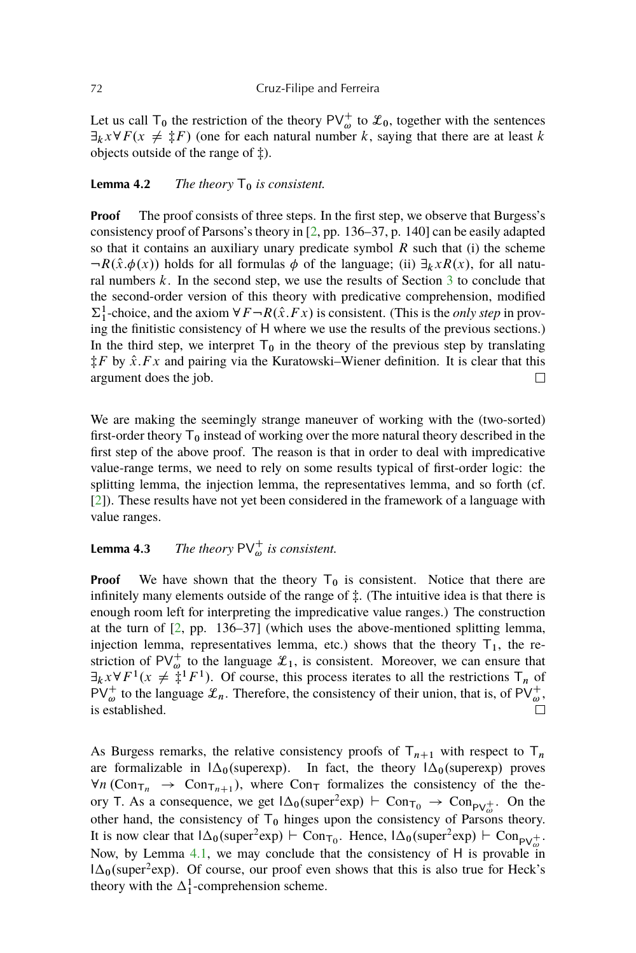<span id="page-11-0"></span>Let us call T<sub>0</sub> the restriction of the theory PV<sup>+</sup><sub>ω</sub> to  $\mathcal{L}_0$ , together with the sentences  $\exists_k x \forall F(x \neq \ddagger F)$  (one for each natural number k, saying that there are at least k objects outside of the range of  $\ddagger$ ).

## **Lemma 4.2** *The theory*  $T_0$  *is consistent.*

**Proof** The proof consists of three steps. In the first step, we observe that Burgess's consistency proof of Parsons's theory in [\[2,](#page-16-0) pp. 136–37, p. 140] can be easily adapted so that it contains an auxiliary unary predicate symbol  $R$  such that (i) the scheme  $-R(\hat{x}, \phi(x))$  holds for all formulas  $\phi$  of the language; (ii)  $\exists_k xR(x)$ , for all natural numbers  $k$ . In the second step, we use the results of Section  $3$  to conclude that the second-order version of this theory with predicative comprehension, modified  $\Sigma_1^1$ -choice, and the axiom  $\forall F \neg R(\hat{x}.Fx)$  is consistent. (This is the *only step* in proving the finitistic consistency of H where we use the results of the previous sections.) In the third step, we interpret  $T_0$  in the theory of the previous step by translating  $\hat{\tau}F$  by  $\hat{x}$ . Fx and pairing via the Kuratowski–Wiener definition. It is clear that this argument does the job.  $\Box$ 

We are making the seemingly strange maneuver of working with the (two-sorted) first-order theory  $T_0$  instead of working over the more natural theory described in the first step of the above proof. The reason is that in order to deal with impredicative value-range terms, we need to rely on some results typical of first-order logic: the splitting lemma, the injection lemma, the representatives lemma, and so forth (cf. [\[2\]](#page-16-0)). These results have not yet been considered in the framework of a language with value ranges.

# **Lemma 4.3** *The theory*  $PV_{\omega}^+$  *is consistent.*

**Proof** We have shown that the theory  $T_0$  is consistent. Notice that there are infinitely many elements outside of the range of  $\ddagger$ . (The intuitive idea is that there is enough room left for interpreting the impredicative value ranges.) The construction at the turn of [\[2,](#page-16-0) pp. 136–37] (which uses the above-mentioned splitting lemma, injection lemma, representatives lemma, etc.) shows that the theory  $T_1$ , the restriction of PV<sup>+</sup> to the language  $\mathcal{L}_1$ , is consistent. Moreover, we can ensure that  $\exists_k x \forall F^1(x \neq \ddot{\ddot{\ddot{\xi}}}^1 F^1)$ . Of course, this process iterates to all the restrictions  $T_n$  of  $PV_{\omega}^+$  to the language  $\mathscr{L}_n$ . Therefore, the consistency of their union, that is, of  $PV_{\omega}^+$ , is established.  $\Box$ 

As Burgess remarks, the relative consistency proofs of  $T_{n+1}$  with respect to  $T_n$ are formalizable in  $\Delta_0$ (superexp). In fact, the theory  $\Delta_0$ (superexp) proves  $\forall n \, (\text{Con}_{\mathsf{T}_n} \rightarrow \text{Con}_{\mathsf{T}_n+1}),$  where  $\text{Con}_{\mathsf{T}}$  formalizes the consistency of the theory T. As a consequence, we get  $\Delta_0$ (super<sup>2</sup>exp)  $\vdash$  Con<sub>T<sub>0</sub></sub>  $\rightarrow$  Con<sub>PV<sub>ω</sub><sup>1</sup></sub>. On the other hand, the consistency of  $T_0$  hinges upon the consistency of Parsons theory. It is now clear that  $\Delta_0$ (super<sup>2</sup>exp)  $\vdash$  Con<sub>T<sub>0</sub></sub>. Hence,  $\Delta_0$ (super<sup>2</sup>exp)  $\vdash$  Con<sub>PV<sup>+</sup></sub><sub>∞</sub>. Now, by Lemma [4.1,](#page-9-0) we may conclude that the consistency of H is provable in  $1\Delta_0$ (super<sup>2</sup>exp). Of course, our proof even shows that this is also true for Heck's theory with the  $\Delta_1^1$ -comprehension scheme.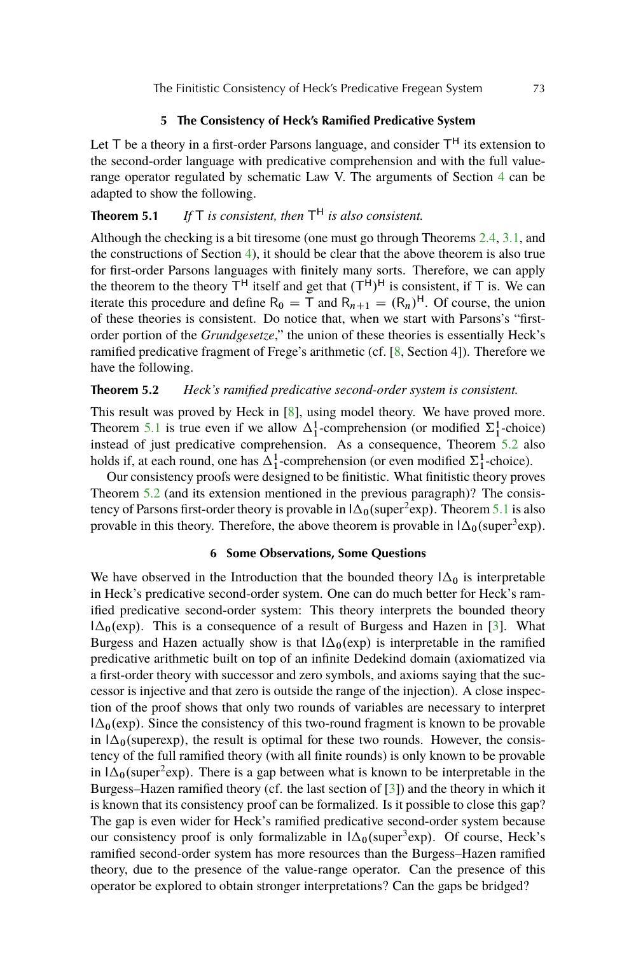## **5 The Consistency of Heck's Ramified Predicative System**

<span id="page-12-0"></span>Let  $T$  be a theory in a first-order Parsons language, and consider  $T^H$  its extension to the second-order language with predicative comprehension and with the full valuerange operator regulated by schematic Law V. The arguments of Section [4](#page-9-0) can be adapted to show the following.

## **Theorem 5.1** *If* T *is consistent, then* T <sup>H</sup> *is also consistent.*

Although the checking is a bit tiresome (one must go through Theorems [2.4,](#page-5-0) [3.1,](#page-6-0) and the constructions of Section [4\)](#page-9-0), it should be clear that the above theorem is also true for first-order Parsons languages with finitely many sorts. Therefore, we can apply the theorem to the theory  $T^H$  itself and get that  $(T^H)^H$  is consistent, if T is. We can iterate this procedure and define  $R_0 = T$  and  $R_{n+1} = (R_n)^H$ . Of course, the union of these theories is consistent. Do notice that, when we start with Parsons's "firstorder portion of the *Grundgesetze*," the union of these theories is essentially Heck's ramified predicative fragment of Frege's arithmetic (cf. [\[8,](#page-17-0) Section 4]). Therefore we have the following.

## **Theorem 5.2** *Heck's ramified predicative second-order system is consistent.*

This result was proved by Heck in [\[8\]](#page-17-0), using model theory. We have proved more. Theorem 5.1 is true even if we allow  $\Delta_1^1$ -comprehension (or modified  $\Sigma_1^1$ -choice) instead of just predicative comprehension. As a consequence, Theorem 5.2 also holds if, at each round, one has  $\Delta_1^1$ -comprehension (or even modified  $\Sigma_1^1$ -choice).

Our consistency proofs were designed to be finitistic. What finitistic theory proves Theorem 5.2 (and its extension mentioned in the previous paragraph)? The consistency of Parsons first-order theory is provable in  $\Delta_0$  (super<sup>2</sup>exp). Theorem 5.1 is also provable in this theory. Therefore, the above theorem is provable in  $\Delta_0$  (super<sup>3</sup>exp).

## **6 Some Observations, Some Questions**

We have observed in the Introduction that the bounded theory  $1\Delta_0$  is interpretable in Heck's predicative second-order system. One can do much better for Heck's ramified predicative second-order system: This theory interprets the bounded theory  $1\Delta_0$ (exp). This is a consequence of a result of Burgess and Hazen in [\[3\]](#page-17-0). What Burgess and Hazen actually show is that  $\Delta_0(\exp)$  is interpretable in the ramified predicative arithmetic built on top of an infinite Dedekind domain (axiomatized via a first-order theory with successor and zero symbols, and axioms saying that the successor is injective and that zero is outside the range of the injection). A close inspection of the proof shows that only two rounds of variables are necessary to interpret  $1\Delta_0$ (exp). Since the consistency of this two-round fragment is known to be provable in  $\Delta_0$ (superexp), the result is optimal for these two rounds. However, the consistency of the full ramified theory (with all finite rounds) is only known to be provable in  $1\Delta_0$ (super<sup>2</sup>exp). There is a gap between what is known to be interpretable in the Burgess–Hazen ramified theory (cf. the last section of [\[3\]](#page-17-0)) and the theory in which it is known that its consistency proof can be formalized. Is it possible to close this gap? The gap is even wider for Heck's ramified predicative second-order system because our consistency proof is only formalizable in  $\Delta_0$ (super<sup>3</sup>exp). Of course, Heck's ramified second-order system has more resources than the Burgess–Hazen ramified theory, due to the presence of the value-range operator. Can the presence of this operator be explored to obtain stronger interpretations? Can the gaps be bridged?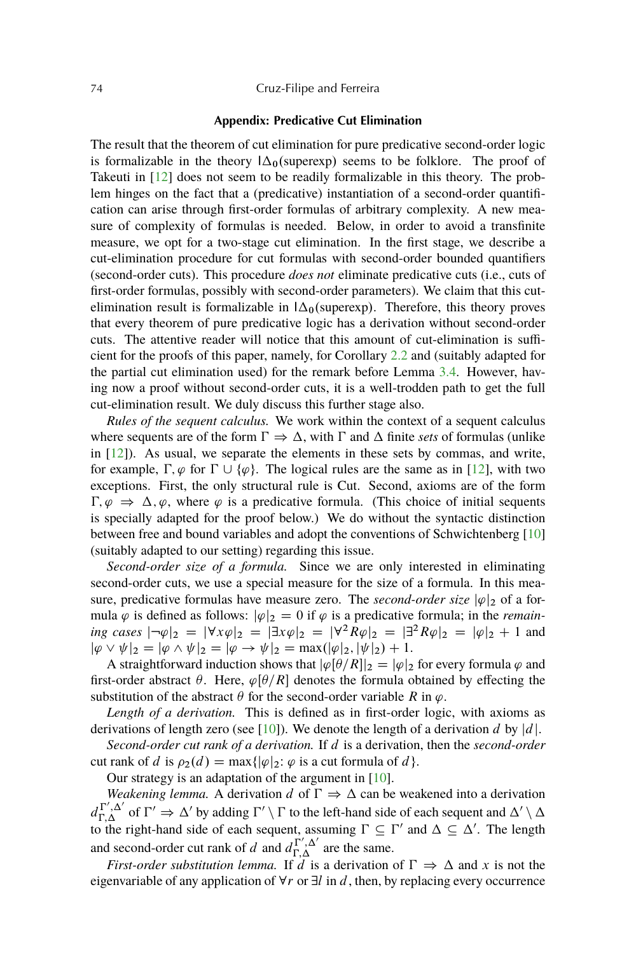### <span id="page-13-0"></span>74 Cruz-Filipe and Ferreira

## **Appendix: Predicative Cut Elimination**

The result that the theorem of cut elimination for pure predicative second-order logic is formalizable in the theory  $\Delta_0$ (superexp) seems to be folklore. The proof of Takeuti in [\[12\]](#page-17-0) does not seem to be readily formalizable in this theory. The problem hinges on the fact that a (predicative) instantiation of a second-order quantification can arise through first-order formulas of arbitrary complexity. A new measure of complexity of formulas is needed. Below, in order to avoid a transfinite measure, we opt for a two-stage cut elimination. In the first stage, we describe a cut-elimination procedure for cut formulas with second-order bounded quantifiers (second-order cuts). This procedure *does not* eliminate predicative cuts (i.e., cuts of first-order formulas, possibly with second-order parameters). We claim that this cutelimination result is formalizable in  $\Delta_0$ (superexp). Therefore, this theory proves that every theorem of pure predicative logic has a derivation without second-order cuts. The attentive reader will notice that this amount of cut-elimination is sufficient for the proofs of this paper, namely, for Corollary [2.2](#page-3-0) and (suitably adapted for the partial cut elimination used) for the remark before Lemma [3.4.](#page-7-0) However, having now a proof without second-order cuts, it is a well-trodden path to get the full cut-elimination result. We duly discuss this further stage also.

*Rules of the sequent calculus.* We work within the context of a sequent calculus where sequents are of the form  $\Gamma \Rightarrow \Delta$ , with  $\Gamma$  and  $\Delta$  finite *sets* of formulas (unlike in  $[12]$ ). As usual, we separate the elements in these sets by commas, and write, for example,  $\Gamma$ ,  $\varphi$  for  $\Gamma \cup {\varphi}$ . The logical rules are the same as in [\[12\]](#page-17-0), with two exceptions. First, the only structural rule is Cut. Second, axioms are of the form  $\Gamma, \varphi \Rightarrow \Delta, \varphi$ , where  $\varphi$  is a predicative formula. (This choice of initial sequents is specially adapted for the proof below.) We do without the syntactic distinction between free and bound variables and adopt the conventions of Schwichtenberg [\[10\]](#page-17-0) (suitably adapted to our setting) regarding this issue.

*Second-order size of a formula.* Since we are only interested in eliminating second-order cuts, we use a special measure for the size of a formula. In this measure, predicative formulas have measure zero. The *second-order size*  $|\varphi|_2$  of a formula  $\varphi$  is defined as follows:  $|\varphi|_2 = 0$  if  $\varphi$  is a predicative formula; in the *remaining cases*  $|\neg \varphi|_2 = |\forall x \varphi|_2 = |\exists x \varphi|_2 = |\forall^2 R \varphi|_2 = |\exists^2 R \varphi|_2 = |\varphi|_2 + 1$  and  $|\varphi \vee \psi|_2 = |\varphi \wedge \psi|_2 = |\varphi \rightarrow \psi|_2 = \max(|\varphi|_2, |\psi|_2) + 1.$ 

A straightforward induction shows that  $|\varphi[\theta/R]|_2 = |\varphi|_2$  for every formula  $\varphi$  and first-order abstract  $\theta$ . Here,  $\varphi[\theta/R]$  denotes the formula obtained by effecting the substitution of the abstract  $\theta$  for the second-order variable R in  $\varphi$ .

*Length of a derivation.* This is defined as in first-order logic, with axioms as derivations of length zero (see [\[10\]](#page-17-0)). We denote the length of a derivation d by  $|d|$ .

*Second-order cut rank of a derivation.* If d is a derivation, then the *second-order* cut rank of d is  $\rho_2(d) = \max{\{\vert \varphi \vert_2 : \varphi \text{ is a cut formula of } d\}}.$ 

Our strategy is an adaptation of the argument in [\[10\]](#page-17-0).

*Weakening lemma.* A derivation d of  $\Gamma \Rightarrow \Delta$  can be weakened into a derivation  $d_{\Gamma,\Delta}^{\Gamma',\Delta'}$  of  $\Gamma' \Rightarrow \Delta'$  by adding  $\Gamma' \setminus \Gamma$  to the left-hand side of each sequent and  $\Delta' \setminus \Delta$ to the right-hand side of each sequent, assuming  $\Gamma \subseteq \Gamma'$  and  $\Delta \subseteq \Delta'$ . The length and second-order cut rank of d and  $d_{\Gamma,\Delta}^{\Gamma',\Delta'}$  are the same.

*First-order substitution lemma.* If d is a derivation of  $\Gamma \Rightarrow \Delta$  and x is not the eigenvariable of any application of  $\forall r$  or  $\exists l$  in d, then, by replacing every occurrence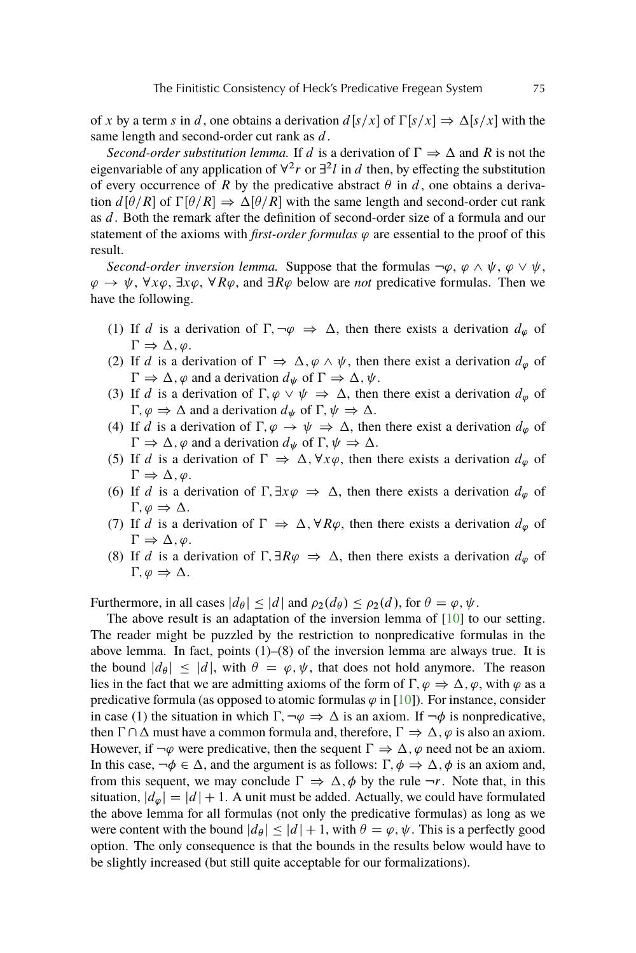<span id="page-14-0"></span>of x by a term s in d, one obtains a derivation  $d[s/x]$  of  $\Gamma[s/x] \Rightarrow \Delta[s/x]$  with the same length and second-order cut rank as d.

*Second-order substitution lemma.* If d is a derivation of  $\Gamma \Rightarrow \Delta$  and R is not the eigenvariable of any application of  $\forall^2 r$  or  $\exists^2 l$  in d then, by effecting the substitution of every occurrence of R by the predicative abstract  $\theta$  in d, one obtains a derivation  $d[\theta/R]$  of  $\Gamma[\theta/R] \Rightarrow \Delta[\theta/R]$  with the same length and second-order cut rank as d. Both the remark after the definition of second-order size of a formula and our statement of the axioms with *first-order formulas*  $\varphi$  are essential to the proof of this result.

*Second-order inversion lemma.* Suppose that the formulas  $\neg \varphi$ ,  $\varphi \wedge \psi$ ,  $\varphi \vee \psi$ ,  $\varphi \to \psi$ ,  $\forall x \varphi$ ,  $\exists x \varphi$ ,  $\forall R \varphi$ , and  $\exists R \varphi$  below are *not* predicative formulas. Then we have the following.

- (1) If d is a derivation of  $\Gamma, \neg \varphi \Rightarrow \Delta$ , then there exists a derivation  $d_{\varphi}$  of  $\Gamma \Rightarrow \Delta, \varphi.$
- (2) If d is a derivation of  $\Gamma \Rightarrow \Delta, \varphi \wedge \psi$ , then there exist a derivation  $d_{\varphi}$  of  $\Gamma \Rightarrow \Delta$ ,  $\varphi$  and a derivation  $d_{\psi}$  of  $\Gamma \Rightarrow \Delta$ ,  $\psi$ .
- (3) If d is a derivation of  $\Gamma, \varphi \lor \psi \Rightarrow \Delta$ , then there exist a derivation  $d_{\varphi}$  of  $\Gamma, \varphi \Rightarrow \Delta$  and a derivation  $d_{\psi}$  of  $\Gamma, \psi \Rightarrow \Delta$ .
- (4) If d is a derivation of  $\Gamma, \varphi \to \psi \Rightarrow \Delta$ , then there exist a derivation  $d_{\varphi}$  of  $\Gamma \Rightarrow \Delta$ ,  $\varphi$  and a derivation  $d_{\psi}$  of  $\Gamma$ ,  $\psi \Rightarrow \Delta$ .
- (5) If d is a derivation of  $\Gamma \Rightarrow \Delta$ ,  $\forall x \varphi$ , then there exists a derivation  $d_{\varphi}$  of  $\Gamma \Rightarrow \Delta, \varphi.$
- (6) If d is a derivation of  $\Gamma$ ,  $\exists x \varphi \Rightarrow \Delta$ , then there exists a derivation  $d_{\varphi}$  of  $\Gamma, \varphi \Rightarrow \Delta.$
- (7) If d is a derivation of  $\Gamma \Rightarrow \Delta, \forall R\varphi$ , then there exists a derivation  $d_{\varphi}$  of  $\Gamma \Rightarrow \Delta, \varphi.$
- (8) If d is a derivation of  $\Gamma$ ,  $\exists R\varphi \Rightarrow \Delta$ , then there exists a derivation  $d_{\varphi}$  of  $\Gamma, \varphi \Rightarrow \Delta.$

Furthermore, in all cases  $|d_{\theta}| \leq |d|$  and  $\rho_2(d_{\theta}) \leq \rho_2(d)$ , for  $\theta = \varphi, \psi$ .

The above result is an adaptation of the inversion lemma of [\[10\]](#page-17-0) to our setting. The reader might be puzzled by the restriction to nonpredicative formulas in the above lemma. In fact, points  $(1)$ – $(8)$  of the inversion lemma are always true. It is the bound  $|d_{\theta}| \leq |d|$ , with  $\theta = \varphi, \psi$ , that does not hold anymore. The reason lies in the fact that we are admitting axioms of the form of  $\Gamma, \varphi \Rightarrow \Delta, \varphi$ , with  $\varphi$  as a predicative formula (as opposed to atomic formulas  $\varphi$  in [\[10\]](#page-17-0)). For instance, consider in case (1) the situation in which  $\Gamma, \neg \varphi \Rightarrow \Delta$  is an axiom. If  $\neg \varphi$  is nonpredicative, then  $\Gamma \cap \Delta$  must have a common formula and, therefore,  $\Gamma \Rightarrow \Delta$ ,  $\varphi$  is also an axiom. However, if  $\neg \varphi$  were predicative, then the sequent  $\Gamma \Rightarrow \Delta$ ,  $\varphi$  need not be an axiom. In this case,  $\neg \phi \in \Delta$ , and the argument is as follows:  $\Gamma$ ,  $\phi \Rightarrow \Delta$ ,  $\phi$  is an axiom and, from this sequent, we may conclude  $\Gamma \Rightarrow \Delta, \phi$  by the rule  $\neg r$ . Note that, in this situation,  $|d_{\varphi}| = |d| + 1$ . A unit must be added. Actually, we could have formulated the above lemma for all formulas (not only the predicative formulas) as long as we were content with the bound  $|d_{\theta}| \leq |d| + 1$ , with  $\theta = \varphi, \psi$ . This is a perfectly good option. The only consequence is that the bounds in the results below would have to be slightly increased (but still quite acceptable for our formalizations).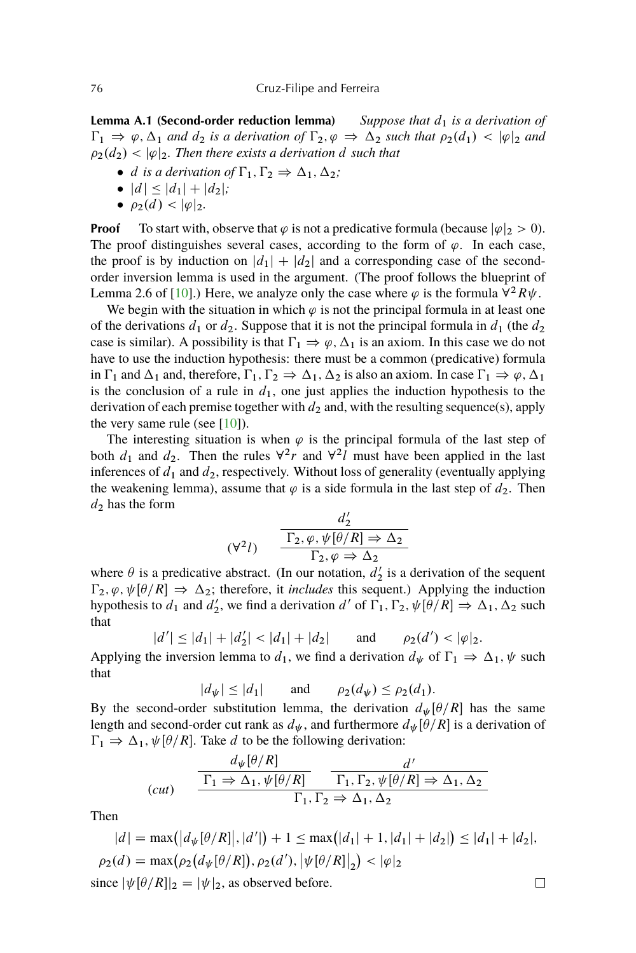<span id="page-15-0"></span>**Lemma A.1 (Second-order reduction lemma)** *Suppose that*  $d_1$  *is a derivation of*  $\Gamma_1 \Rightarrow \varphi, \Delta_1$  and  $d_2$  is a derivation of  $\Gamma_2, \varphi \Rightarrow \Delta_2$  such that  $\rho_2(d_1) < |\varphi|_2$  and  $\rho_2(d_2) < |\varphi|_2$ . Then there exists a derivation d such that

- $\bullet$  *d is a derivation of*  $\Gamma_1, \Gamma_2 \Rightarrow \Delta_1, \Delta_2$ ;
- $|d| \leq |d_1| + |d_2|$ *;*
- $\rho_2(d) < |\varphi|_2$ .

**Proof** To start with, observe that  $\varphi$  is not a predicative formula (because  $|\varphi|_2 > 0$ ). The proof distinguishes several cases, according to the form of  $\varphi$ . In each case, the proof is by induction on  $|d_1| + |d_2|$  and a corresponding case of the secondorder inversion lemma is used in the argument. (The proof follows the blueprint of Lemma 2.6 of [\[10\]](#page-17-0).) Here, we analyze only the case where  $\varphi$  is the formula  $\overline{Y^2}R\psi$ .

We begin with the situation in which  $\varphi$  is not the principal formula in at least one of the derivations  $d_1$  or  $d_2$ . Suppose that it is not the principal formula in  $d_1$  (the  $d_2$ ) case is similar). A possibility is that  $\Gamma_1 \Rightarrow \varphi, \Delta_1$  is an axiom. In this case we do not have to use the induction hypothesis: there must be a common (predicative) formula in  $\Gamma_1$  and  $\Delta_1$  and, therefore,  $\Gamma_1, \Gamma_2 \Rightarrow \Delta_1, \Delta_2$  is also an axiom. In case  $\Gamma_1 \Rightarrow \varphi, \Delta_1$ is the conclusion of a rule in  $d_1$ , one just applies the induction hypothesis to the derivation of each premise together with  $d_2$  and, with the resulting sequence(s), apply the very same rule (see  $[10]$ ).

The interesting situation is when  $\varphi$  is the principal formula of the last step of both  $d_1$  and  $d_2$ . Then the rules  $\forall^2 r$  and  $\forall^2 l$  must have been applied in the last inferences of  $d_1$  and  $d_2$ , respectively. Without loss of generality (eventually applying the weakening lemma), assume that  $\varphi$  is a side formula in the last step of  $d_2$ . Then  $d_2$  has the form

$$
(\forall^2 l) \qquad \frac{d'_2}{\Gamma_2, \varphi, \psi[\theta/R] \Rightarrow \Delta_2}
$$

$$
\Gamma_2, \varphi \Rightarrow \Delta_2
$$

where  $\theta$  is a predicative abstract. (In our notation,  $d'_2$  is a derivation of the sequent  $\Gamma_2, \varphi, \psi[\theta/R] \Rightarrow \Delta_2$ ; therefore, it *includes* this sequent.) Applying the induction hypothesis to  $d_1$  and  $d'_2$ , we find a derivation d' of  $\Gamma_1$ ,  $\Gamma_2$ ,  $\psi[\theta/R] \Rightarrow \Delta_1$ ,  $\Delta_2$  such that

$$
|d'| \le |d_1| + |d'_2| < |d_1| + |d_2|
$$
 and  $\rho_2(d') < |\varphi|_2$ .

Applying the inversion lemma to  $d_1$ , we find a derivation  $d_{\psi}$  of  $\Gamma_1 \Rightarrow \Delta_1, \psi$  such that

$$
|d_{\psi}| \le |d_1| \quad \text{and} \quad \rho_2(d_{\psi}) \le \rho_2(d_1).
$$

By the second-order substitution lemma, the derivation  $d_{\psi}[\theta/R]$  has the same length and second-order cut rank as  $d_{\psi}$ , and furthermore  $d_{\psi}[\theta/R]$  is a derivation of  $\Gamma_1 \Rightarrow \Delta_1, \psi[\theta/R]$ . Take d to be the following derivation:

$$
(cut) \quad \frac{d_{\psi}[\theta/R]}{\Gamma_1 \Rightarrow \Delta_1, \psi[\theta/R]} \quad \frac{d'}{\Gamma_1, \Gamma_2, \psi[\theta/R] \Rightarrow \Delta_1, \Delta_2}
$$
\n
$$
\Gamma_1, \Gamma_2 \Rightarrow \Delta_1, \Delta_2
$$

Then

$$
|d| = \max(|d_{\psi}[\theta/R]|, |d'|) + 1 \le \max(|d_1| + 1, |d_1| + |d_2|) \le |d_1| + |d_2|,
$$
  
\n
$$
\rho_2(d) = \max(\rho_2(d_{\psi}[\theta/R]), \rho_2(d'), |\psi[\theta/R]|_2) < |\varphi|_2
$$
  
\nsince  $|\psi[\theta/R]|_2 = |\psi|_2$ , as observed before.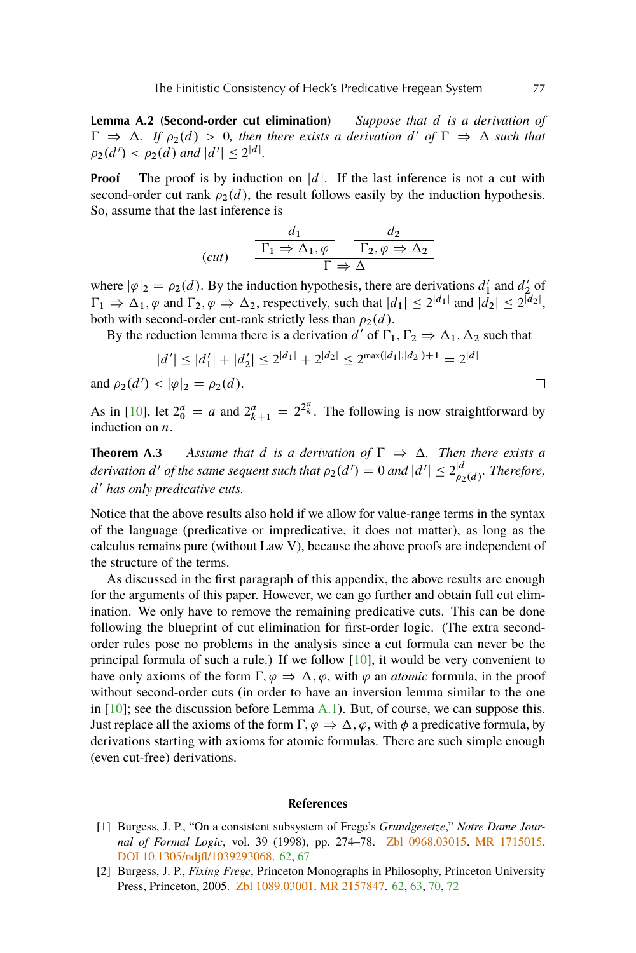<span id="page-16-0"></span>**Lemma A.2 (Second-order cut elimination)** *Suppose that* d *is a derivation of*  $\Gamma \Rightarrow \Delta$ . If  $\rho_2(d) > 0$ , then there exists a derivation d' of  $\Gamma \Rightarrow \Delta$  such that  $\rho_2(d') < \rho_2(d)$  and  $|d'| \leq 2^{|d|}$ .

**Proof** The proof is by induction on |d|. If the last inference is not a cut with second-order cut rank  $\rho_2(d)$ , the result follows easily by the induction hypothesis. So, assume that the last inference is

$$
(cut) \qquad \frac{d_1}{\Gamma_1 \Rightarrow \Delta_1, \varphi} \qquad \frac{d_2}{\Gamma_2, \varphi \Rightarrow \Delta_2}
$$
\n
$$
\Gamma \Rightarrow \Delta
$$

where  $|\varphi|_2 = \rho_2(d)$ . By the induction hypothesis, there are derivations  $d'_1$  and  $d'_2$  of  $\Gamma_1 \Rightarrow \Delta_1, \varphi$  and  $\Gamma_2, \varphi \Rightarrow \Delta_2$ , respectively, such that  $|d_1| \leq 2^{|d_1|}$  and  $|\dot{d_2}| \leq 2^{|d_2|}$ , both with second-order cut-rank strictly less than  $\rho_2(d)$ .

By the reduction lemma there is a derivation  $d'$  of  $\Gamma_1, \Gamma_2 \Rightarrow \Delta_1, \Delta_2$  such that

$$
|d'| \le |d'_1| + |d'_2| \le 2^{|d_1|} + 2^{|d_2|} \le 2^{\max(|d_1|, |d_2|) + 1} = 2^{|d|}
$$

and  $\rho_2(d') < |\varphi|_2 = \rho_2(d)$ .

As in [\[10\]](#page-17-0), let  $2^a_0 = a$  and  $2^a_{k+1} = 2^{2^a_k}$ . The following is now straightforward by induction on  $n$ .

**Theorem A.3** Assume that d is a derivation of  $\Gamma \Rightarrow \Delta$ . Then there exists a *derivation d' of the same sequent such that*  $\rho_2(d') = 0$  *and*  $|d'| \leq 2_{\rho_2(d)}^{|d|}$ *. Therefore,* d <sup>0</sup> *has only predicative cuts.*

Notice that the above results also hold if we allow for value-range terms in the syntax of the language (predicative or impredicative, it does not matter), as long as the calculus remains pure (without Law V), because the above proofs are independent of the structure of the terms.

As discussed in the first paragraph of this appendix, the above results are enough for the arguments of this paper. However, we can go further and obtain full cut elimination. We only have to remove the remaining predicative cuts. This can be done following the blueprint of cut elimination for first-order logic. (The extra secondorder rules pose no problems in the analysis since a cut formula can never be the principal formula of such a rule.) If we follow [\[10\]](#page-17-0), it would be very convenient to have only axioms of the form  $\Gamma, \varphi \Rightarrow \Delta, \varphi$ , with  $\varphi$  an *atomic* formula, in the proof without second-order cuts (in order to have an inversion lemma similar to the one in  $[10]$ ; see the discussion before Lemma [A.1\)](#page-14-0). But, of course, we can suppose this. Just replace all the axioms of the form  $\Gamma, \varphi \Rightarrow \Delta, \varphi$ , with  $\varphi$  a predicative formula, by derivations starting with axioms for atomic formulas. There are such simple enough (even cut-free) derivations.

### **References**

- [1] Burgess, J. P., "On a consistent subsystem of Frege's *Grundgesetze*," *Notre Dame Journal of Formal Logic*, vol. 39 (1998), pp. 274–78. [Zbl 0968.03015.](http://www.emis.de/cgi-bin/MATH-item?0968.03015) [MR 1715015.](http://www.ams.org/mathscinet-getitem?mr=1715015) [DOI 10.1305/ndjfl/1039293068.](http://dx.doi.org/10.1305/ndjfl/1039293068) [62,](#page-1-0) [67](#page-6-0)
- [2] Burgess, J. P., *Fixing Frege*, Princeton Monographs in Philosophy, Princeton University Press, Princeton, 2005. [Zbl 1089.03001.](http://www.emis.de/cgi-bin/MATH-item?1089.03001) [MR 2157847.](http://www.ams.org/mathscinet-getitem?mr=2157847) [62,](#page-1-0) [63,](#page-2-0) [70,](#page-9-0) [72](#page-11-0)

 $\Box$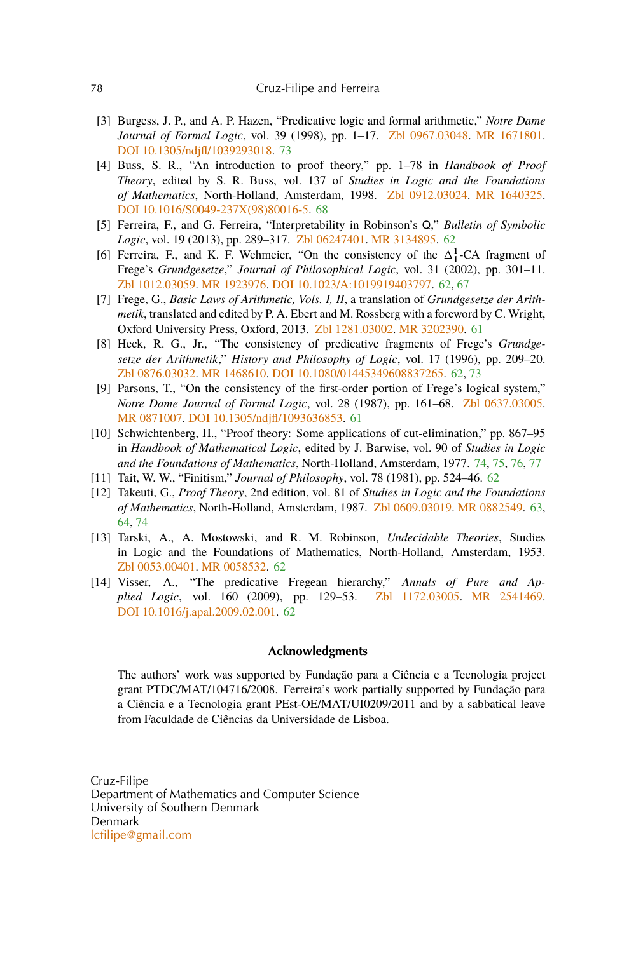## <span id="page-17-0"></span>78 Cruz-Filipe and Ferreira

- [3] Burgess, J. P., and A. P. Hazen, "Predicative logic and formal arithmetic," *Notre Dame Journal of Formal Logic*, vol. 39 (1998), pp. 1–17. [Zbl 0967.03048.](http://www.emis.de/cgi-bin/MATH-item?0967.03048) [MR 1671801.](http://www.ams.org/mathscinet-getitem?mr=1671801) [DOI 10.1305/ndjfl/1039293018.](http://dx.doi.org/10.1305/ndjfl/1039293018) [73](#page-12-0)
- [4] Buss, S. R., "An introduction to proof theory," pp. 1–78 in *Handbook of Proof Theory*, edited by S. R. Buss, vol. 137 of *Studies in Logic and the Foundations of Mathematics*, North-Holland, Amsterdam, 1998. [Zbl 0912.03024.](http://www.emis.de/cgi-bin/MATH-item?0912.03024) [MR 1640325.](http://www.ams.org/mathscinet-getitem?mr=1640325) [DOI 10.1016/S0049-237X\(98\)80016-5.](http://dx.doi.org/10.1016/S0049-237X(98)80016-5) [68](#page-7-0)
- [5] Ferreira, F., and G. Ferreira, "Interpretability in Robinson's Q," *Bulletin of Symbolic Logic*, vol. 19 (2013), pp. 289–317. [Zbl 06247401.](http://www.emis.de/cgi-bin/MATH-item?06247401) [MR 3134895.](http://www.ams.org/mathscinet-getitem?mr=3134895) [62](#page-1-0)
- [6] Ferreira, F., and K. F. Wehmeier, "On the consistency of the  $\Delta_1^1$ -CA fragment of Frege's *Grundgesetze*," *Journal of Philosophical Logic*, vol. 31 (2002), pp. 301–11. [Zbl 1012.03059.](http://www.emis.de/cgi-bin/MATH-item?1012.03059) [MR 1923976.](http://www.ams.org/mathscinet-getitem?mr=1923976) [DOI 10.1023/A:1019919403797.](http://dx.doi.org/10.1023/A:1019919403797) [62,](#page-1-0) [67](#page-6-0)
- [7] Frege, G., *Basic Laws of Arithmetic, Vols. I, II*, a translation of *Grundgesetze der Arithmetik*, translated and edited by P. A. Ebert and M. Rossberg with a foreword by C. Wright, Oxford University Press, Oxford, 2013. [Zbl 1281.03002.](http://www.emis.de/cgi-bin/MATH-item?1281.03002) [MR 3202390.](http://www.ams.org/mathscinet-getitem?mr=3202390) [61](#page-0-0)
- [8] Heck, R. G., Jr., "The consistency of predicative fragments of Frege's *Grundgesetze der Arithmetik*," *History and Philosophy of Logic*, vol. 17 (1996), pp. 209–20. [Zbl 0876.03032.](http://www.emis.de/cgi-bin/MATH-item?0876.03032) [MR 1468610.](http://www.ams.org/mathscinet-getitem?mr=1468610) [DOI 10.1080/01445349608837265.](http://dx.doi.org/10.1080/01445349608837265) [62,](#page-1-0) [73](#page-12-0)
- [9] Parsons, T., "On the consistency of the first-order portion of Frege's logical system," *Notre Dame Journal of Formal Logic*, vol. 28 (1987), pp. 161–68. [Zbl 0637.03005.](http://www.emis.de/cgi-bin/MATH-item?0637.03005) [MR 0871007.](http://www.ams.org/mathscinet-getitem?mr=0871007) [DOI 10.1305/ndjfl/1093636853.](http://dx.doi.org/10.1305/ndjfl/1093636853) [61](#page-0-0)
- [10] Schwichtenberg, H., "Proof theory: Some applications of cut-elimination," pp. 867–95 in *Handbook of Mathematical Logic*, edited by J. Barwise, vol. 90 of *Studies in Logic and the Foundations of Mathematics*, North-Holland, Amsterdam, 1977. [74,](#page-13-0) [75,](#page-14-0) [76,](#page-15-0) [77](#page-16-0)
- [11] Tait, W. W., "Finitism," *Journal of Philosophy*, vol. 78 (1981), pp. 524–46. [62](#page-1-0)
- [12] Takeuti, G., *Proof Theory*, 2nd edition, vol. 81 of *Studies in Logic and the Foundations of Mathematics*, North-Holland, Amsterdam, 1987. [Zbl 0609.03019.](http://www.emis.de/cgi-bin/MATH-item?0609.03019) [MR 0882549.](http://www.ams.org/mathscinet-getitem?mr=0882549) [63,](#page-2-0) [64,](#page-3-0) [74](#page-13-0)
- [13] Tarski, A., A. Mostowski, and R. M. Robinson, *Undecidable Theories*, Studies in Logic and the Foundations of Mathematics, North-Holland, Amsterdam, 1953. [Zbl 0053.00401.](http://www.emis.de/cgi-bin/MATH-item?0053.00401) [MR 0058532.](http://www.ams.org/mathscinet-getitem?mr=0058532) [62](#page-1-0)
- [14] Visser, A., "The predicative Fregean hierarchy," *Annals of Pure and Applied Logic*, vol. 160 (2009), pp. 129–53. [Zbl 1172.03005.](http://www.emis.de/cgi-bin/MATH-item?1172.03005) [MR 2541469.](http://www.ams.org/mathscinet-getitem?mr=2541469) [DOI 10.1016/j.apal.2009.02.001.](http://dx.doi.org/10.1016/j.apal.2009.02.001) [62](#page-1-0)

## **Acknowledgments**

The authors' work was supported by Fundação para a Ciência e a Tecnologia project grant PTDC/MAT/104716/2008. Ferreira's work partially supported by Fundação para a Ciência e a Tecnologia grant PEst-OE/MAT/UI0209/2011 and by a sabbatical leave from Faculdade de Ciências da Universidade de Lisboa.

Cruz-Filipe Department of Mathematics and Computer Science University of Southern Denmark Denmark [lcfilipe@gmail.com](mailto:lcfilipe@gmail.com)